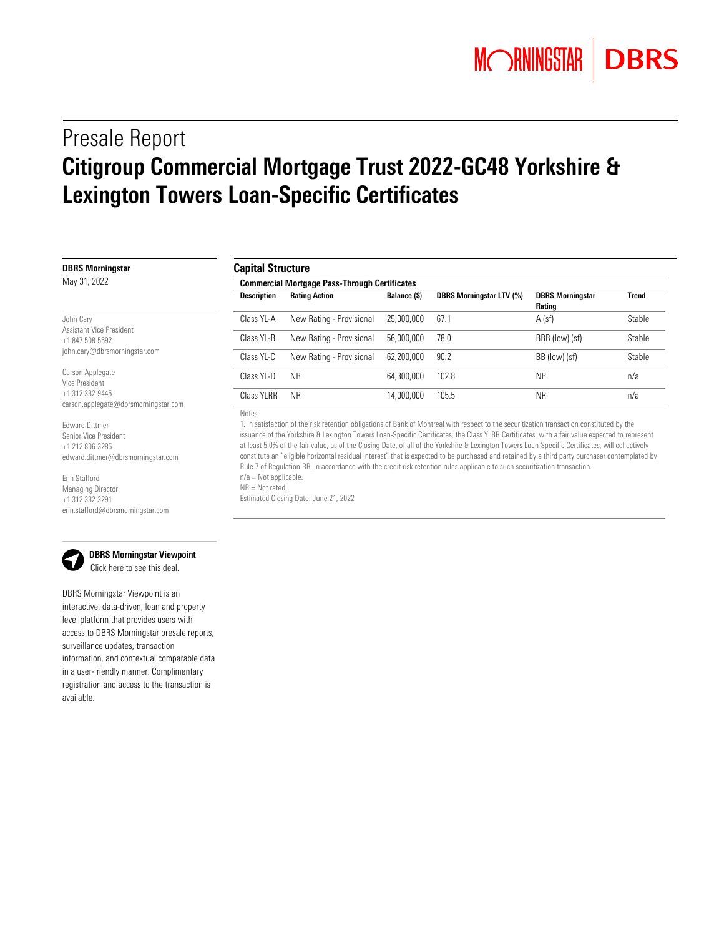# Presale Report Citigroup Commercial Mortgage Trust 2022-GC48 Yorkshire & Lexington Towers Loan-Specific Certificates

| <b>Capital Structure</b>                             |                          |              |                                 |                                          |              |  |  |
|------------------------------------------------------|--------------------------|--------------|---------------------------------|------------------------------------------|--------------|--|--|
| <b>Commercial Mortgage Pass-Through Certificates</b> |                          |              |                                 |                                          |              |  |  |
| <b>Description</b>                                   | <b>Rating Action</b>     | Balance (\$) | <b>DBRS Morningstar LTV (%)</b> | <b>DBRS Morningstar</b><br><b>Rating</b> | <b>Trend</b> |  |  |
| Class YL-A                                           | New Rating - Provisional | 25,000,000   | 67.1                            | $A$ (sf)                                 | Stable       |  |  |
| Class YL-B                                           | New Rating - Provisional | 56,000,000   | 78.0                            | BBB (low) (sf)                           | Stable       |  |  |
| Class YL-C                                           | New Rating - Provisional | 62,200,000   | 90.2                            | BB (low) (sf)                            | Stable       |  |  |
| Class YI-D                                           | <b>NR</b>                | 64.300.000   | 102.8                           | <b>NR</b>                                | n/a          |  |  |
| Class YI RR                                          | <b>NR</b>                | 14,000,000   | 105.5                           | <b>NR</b>                                | n/a          |  |  |
|                                                      |                          |              |                                 |                                          |              |  |  |

<span id="page-0-0"></span>Notes:

1. In satisfaction of the risk retention obligations of Bank of Montreal with respect to the securitization transaction constituted by the issuance of the Yorkshire & Lexington Towers Loan-Specific Certificates, the Class YLRR Certificates, with a fair value expected to represent at least 5.0% of the fair value, as of the Closing Date, of all of the Yorkshire & Lexington Towers Loan-Specific Certificates, will collectively constitute an "eligible horizontal residual interest" that is expected to be purchased and retained by a third party purchaser contemplated by Rule 7 of Regulation RR, in accordance with the credit risk retention rules applicable to such securitization transaction. n/a = Not applicable. NR = Not rated.

Estimated Closing Date: June 21, 2022

Edward Dittmer Senior Vice President +1 212 806-3285

Erin Stafford Managing Director +1 312 332-3291

edward.dittmer@dbrsmorningstar.com

erin.stafford@dbrsmorningstar.com

DBRS Morningstar Viewpoint is an interactive, data-driven, loan and property level platform that provides users with access to DBRS Morningstar presale reports, surveillance updates, transaction information, and contextual comparable data in a user-friendly manner. Complimentary registration and access to the transaction is available.

 DBRS Morningstar Viewpoint Clic[k here to](https://viewpoint.dbrsmorningstar.com/#!/a/deal/CGCMT%202022-GC48%20Yorkshire%20&%20Lexington%20Towers?p=0) see this deal.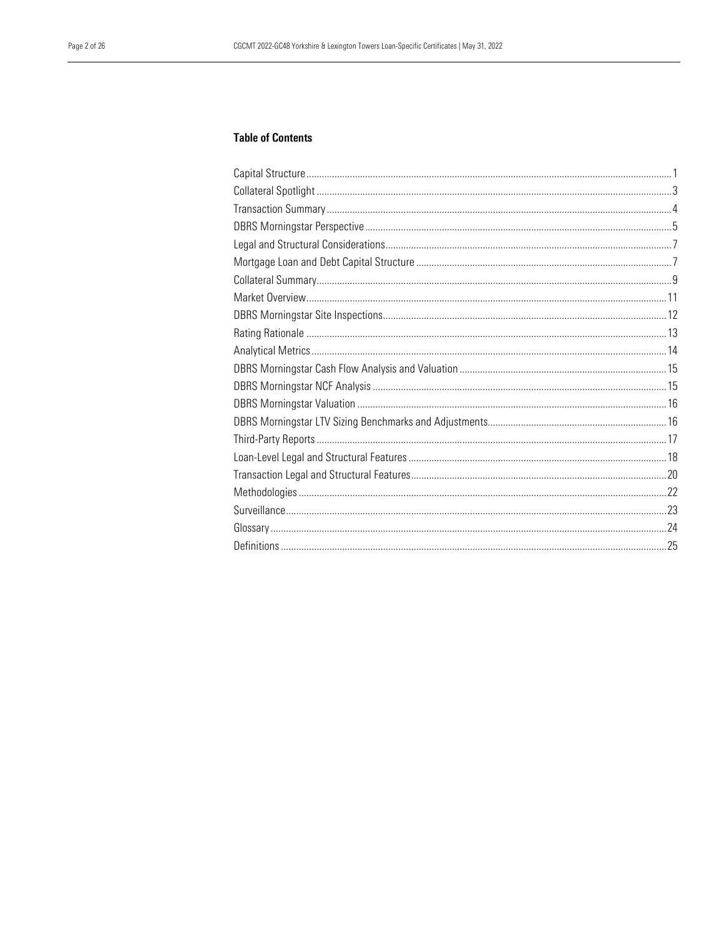# **Table of Contents**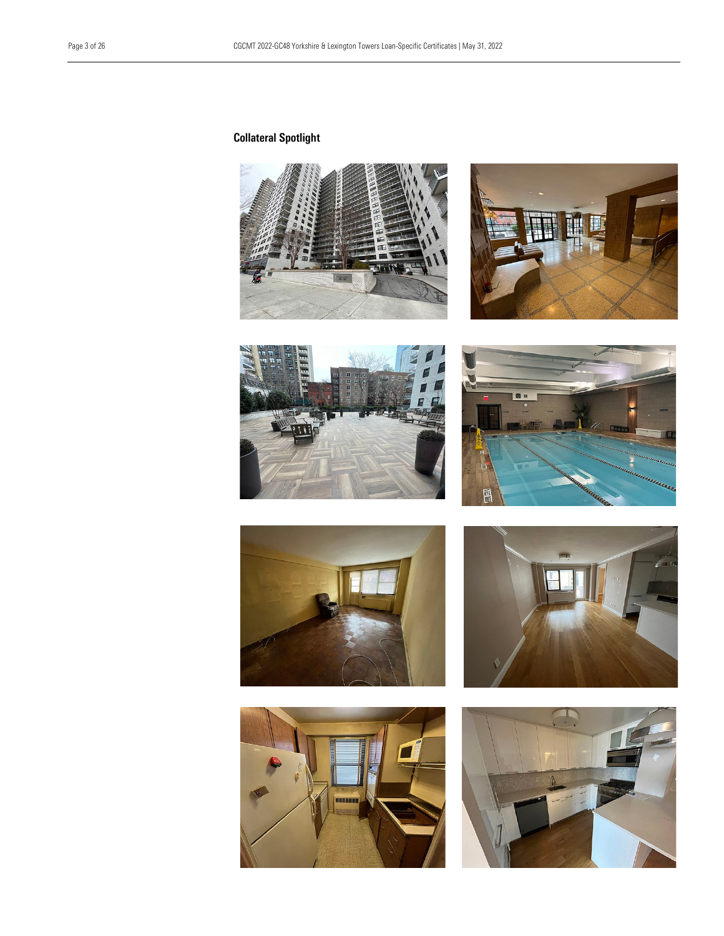# <span id="page-2-0"></span>Collateral Spotlight















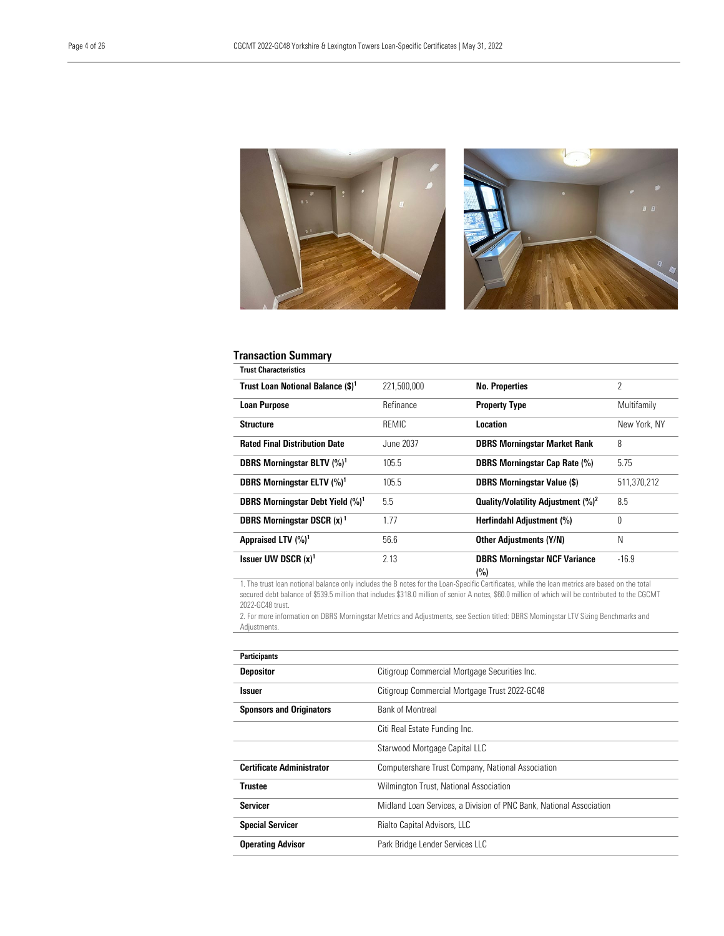

# <span id="page-3-0"></span>Transaction Summary

| <b>Trust Characteristics</b>                  |              |                                                |               |
|-----------------------------------------------|--------------|------------------------------------------------|---------------|
| Trust Loan Notional Balance (\$) <sup>1</sup> | 221,500,000  | <b>No. Properties</b>                          | $\mathcal{P}$ |
| <b>Loan Purpose</b>                           | Refinance    | <b>Property Type</b>                           | Multifamily   |
| <b>Structure</b>                              | <b>REMIC</b> | Location                                       | New York, NY  |
| <b>Rated Final Distribution Date</b>          | June 2037    | <b>DBRS Morningstar Market Rank</b>            | 8             |
| DBRS Morningstar BLTV (%) <sup>1</sup>        | 105.5        | <b>DBRS Morningstar Cap Rate (%)</b>           | 5.75          |
| DBRS Morningstar ELTV (%) <sup>1</sup>        | 105.5        | <b>DBRS Morningstar Value (\$)</b>             | 511,370,212   |
| DBRS Morningstar Debt Yield (%) <sup>1</sup>  | 5.5          | Quality/Volatility Adjustment (%) <sup>2</sup> | 8.5           |
| <b>DBRS Morningstar DSCR (x)<sup>1</sup></b>  | 1.77         | Herfindahl Adjustment (%)                      | $\theta$      |
| Appraised LTV (%) <sup>1</sup>                | 56.6         | <b>Other Adjustments (Y/N)</b>                 | N             |
| Issuer UW DSCR $(x)^1$                        | 2.13         | <b>DBRS Morningstar NCF Variance</b><br>(%)    | $-16.9$       |

1. The trust loan notional balance only includes the B notes for the Loan-Specific Certificates, while the loan metrics are based on the total secured debt balance of \$539.5 million that includes \$318.0 million of senior A notes, \$60.0 million of which will be contributed to the CGCMT 2022-GC48 trust.

2. For more information on DBRS Morningstar Metrics and Adjustments, see Section titled: DBRS Morningstar LTV Sizing Benchmarks and Adjustments.

| <b>Participants</b>              |                                                                     |
|----------------------------------|---------------------------------------------------------------------|
| <b>Depositor</b>                 | Citigroup Commercial Mortgage Securities Inc.                       |
| <b>Issuer</b>                    | Citigroup Commercial Mortgage Trust 2022-GC48                       |
| <b>Sponsors and Originators</b>  | <b>Bank of Montreal</b>                                             |
|                                  | Citi Real Estate Funding Inc.                                       |
|                                  | Starwood Mortgage Capital LLC                                       |
| <b>Certificate Administrator</b> | Computershare Trust Company, National Association                   |
| <b>Trustee</b>                   | Wilmington Trust, National Association                              |
| <b>Servicer</b>                  | Midland Loan Services, a Division of PNC Bank, National Association |
| <b>Special Servicer</b>          | Rialto Capital Advisors, LLC                                        |
| <b>Operating Advisor</b>         | Park Bridge Lender Services LLC                                     |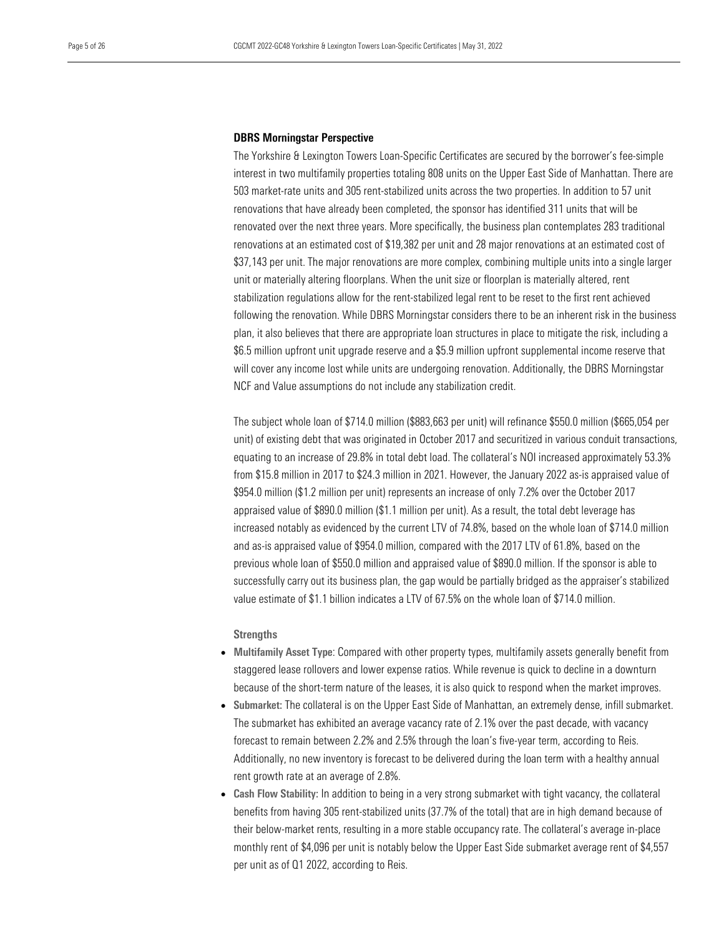#### <span id="page-4-0"></span>DBRS Morningstar Perspective

The Yorkshire & Lexington Towers Loan-Specific Certificates are secured by the borrower's fee-simple interest in two multifamily properties totaling 808 units on the Upper East Side of Manhattan. There are 503 market-rate units and 305 rent-stabilized units across the two properties. In addition to 57 unit renovations that have already been completed, the sponsor has identified 311 units that will be renovated over the next three years. More specifically, the business plan contemplates 283 traditional renovations at an estimated cost of \$19,382 per unit and 28 major renovations at an estimated cost of \$37,143 per unit. The major renovations are more complex, combining multiple units into a single larger unit or materially altering floorplans. When the unit size or floorplan is materially altered, rent stabilization regulations allow for the rent-stabilized legal rent to be reset to the first rent achieved following the renovation. While DBRS Morningstar considers there to be an inherent risk in the business plan, it also believes that there are appropriate loan structures in place to mitigate the risk, including a \$6.5 million upfront unit upgrade reserve and a \$5.9 million upfront supplemental income reserve that will cover any income lost while units are undergoing renovation. Additionally, the DBRS Morningstar NCF and Value assumptions do not include any stabilization credit.

The subject whole loan of \$714.0 million (\$883,663 per unit) will refinance \$550.0 million (\$665,054 per unit) of existing debt that was originated in October 2017 and securitized in various conduit transactions, equating to an increase of 29.8% in total debt load. The collateral's NOI increased approximately 53.3% from \$15.8 million in 2017 to \$24.3 million in 2021. However, the January 2022 as-is appraised value of \$954.0 million (\$1.2 million per unit) represents an increase of only 7.2% over the October 2017 appraised value of \$890.0 million (\$1.1 million per unit). As a result, the total debt leverage has increased notably as evidenced by the current LTV of 74.8%, based on the whole loan of \$714.0 million and as-is appraised value of \$954.0 million, compared with the 2017 LTV of 61.8%, based on the previous whole loan of \$550.0 million and appraised value of \$890.0 million. If the sponsor is able to successfully carry out its business plan, the gap would be partially bridged as the appraiser's stabilized value estimate of \$1.1 billion indicates a LTV of 67.5% on the whole loan of \$714.0 million.

#### **Strengths**

- Multifamily Asset Type: Compared with other property types, multifamily assets generally benefit from staggered lease rollovers and lower expense ratios. While revenue is quick to decline in a downturn because of the short-term nature of the leases, it is also quick to respond when the market improves.
- Submarket: The collateral is on the Upper East Side of Manhattan, an extremely dense, infill submarket. The submarket has exhibited an average vacancy rate of 2.1% over the past decade, with vacancy forecast to remain between 2.2% and 2.5% through the loan's five-year term, according to Reis. Additionally, no new inventory is forecast to be delivered during the loan term with a healthy annual rent growth rate at an average of 2.8%.
- Cash Flow Stability: In addition to being in a very strong submarket with tight vacancy, the collateral benefits from having 305 rent-stabilized units (37.7% of the total) that are in high demand because of their below-market rents, resulting in a more stable occupancy rate. The collateral's average in-place monthly rent of \$4,096 per unit is notably below the Upper East Side submarket average rent of \$4,557 per unit as of Q1 2022, according to Reis.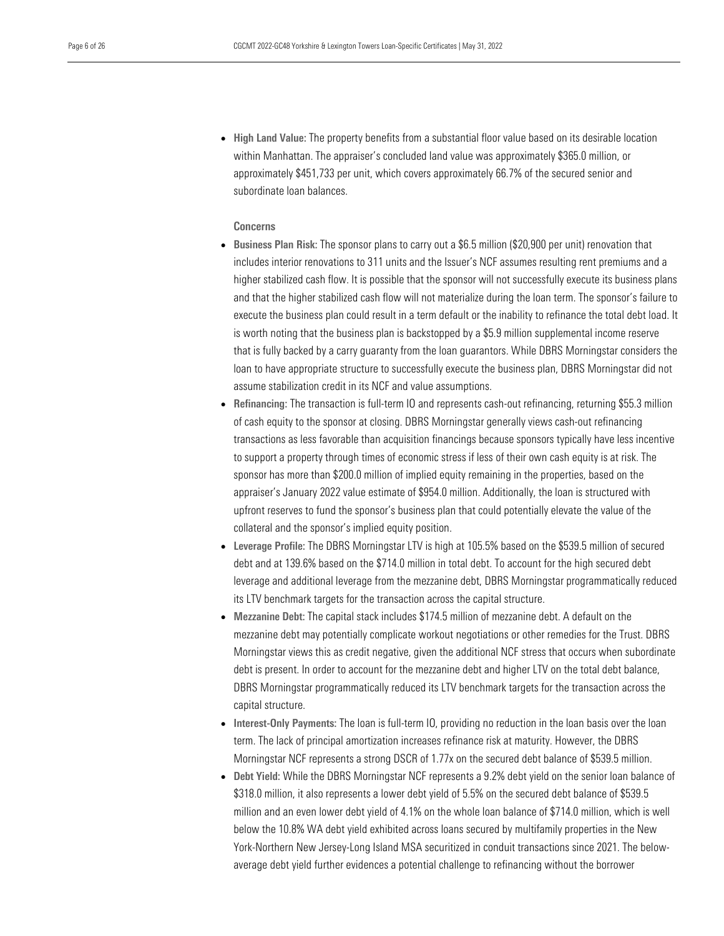• High Land Value: The property benefits from a substantial floor value based on its desirable location within Manhattan. The appraiser's concluded land value was approximately \$365.0 million, or approximately \$451,733 per unit, which covers approximately 66.7% of the secured senior and subordinate loan balances.

# Concerns

- Business Plan Risk: The sponsor plans to carry out a \$6.5 million (\$20,900 per unit) renovation that includes interior renovations to 311 units and the Issuer's NCF assumes resulting rent premiums and a higher stabilized cash flow. It is possible that the sponsor will not successfully execute its business plans and that the higher stabilized cash flow will not materialize during the loan term. The sponsor's failure to execute the business plan could result in a term default or the inability to refinance the total debt load. It is worth noting that the business plan is backstopped by a \$5.9 million supplemental income reserve that is fully backed by a carry guaranty from the loan guarantors. While DBRS Morningstar considers the loan to have appropriate structure to successfully execute the business plan, DBRS Morningstar did not assume stabilization credit in its NCF and value assumptions.
- Refinancing: The transaction is full-term IO and represents cash-out refinancing, returning \$55.3 million of cash equity to the sponsor at closing. DBRS Morningstar generally views cash-out refinancing transactions as less favorable than acquisition financings because sponsors typically have less incentive to support a property through times of economic stress if less of their own cash equity is at risk. The sponsor has more than \$200.0 million of implied equity remaining in the properties, based on the appraiser's January 2022 value estimate of \$954.0 million. Additionally, the loan is structured with upfront reserves to fund the sponsor's business plan that could potentially elevate the value of the collateral and the sponsor's implied equity position.
- Leverage Profile: The DBRS Morningstar LTV is high at 105.5% based on the \$539.5 million of secured debt and at 139.6% based on the \$714.0 million in total debt. To account for the high secured debt leverage and additional leverage from the mezzanine debt, DBRS Morningstar programmatically reduced its LTV benchmark targets for the transaction across the capital structure.
- Mezzanine Debt: The capital stack includes \$174.5 million of mezzanine debt. A default on the mezzanine debt may potentially complicate workout negotiations or other remedies for the Trust. DBRS Morningstar views this as credit negative, given the additional NCF stress that occurs when subordinate debt is present. In order to account for the mezzanine debt and higher LTV on the total debt balance, DBRS Morningstar programmatically reduced its LTV benchmark targets for the transaction across the capital structure.
- Interest-Only Payments: The loan is full-term IO, providing no reduction in the loan basis over the loan term. The lack of principal amortization increases refinance risk at maturity. However, the DBRS Morningstar NCF represents a strong DSCR of 1.77x on the secured debt balance of \$539.5 million.
- Debt Yield: While the DBRS Morningstar NCF represents a 9.2% debt yield on the senior loan balance of \$318.0 million, it also represents a lower debt yield of 5.5% on the secured debt balance of \$539.5 million and an even lower debt yield of 4.1% on the whole loan balance of \$714.0 million, which is well below the 10.8% WA debt yield exhibited across loans secured by multifamily properties in the New York-Northern New Jersey-Long Island MSA securitized in conduit transactions since 2021. The belowaverage debt yield further evidences a potential challenge to refinancing without the borrower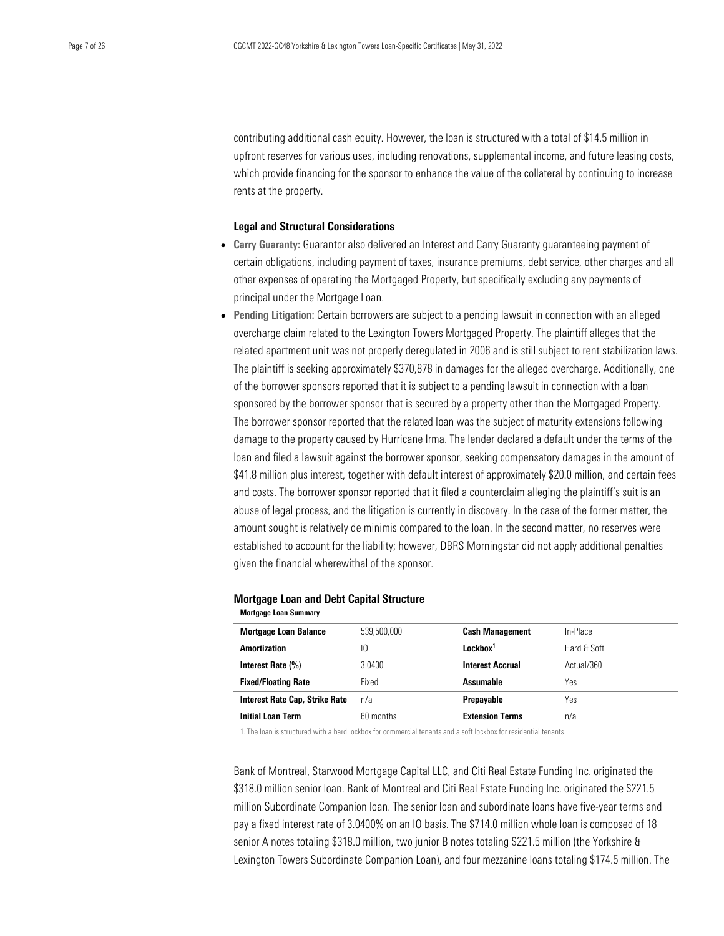contributing additional cash equity. However, the loan is structured with a total of \$14.5 million in upfront reserves for various uses, including renovations, supplemental income, and future leasing costs, which provide financing for the sponsor to enhance the value of the collateral by continuing to increase rents at the property.

# <span id="page-6-0"></span>Legal and Structural Considerations

- Carry Guaranty: Guarantor also delivered an Interest and Carry Guaranty quaranteeing payment of certain obligations, including payment of taxes, insurance premiums, debt service, other charges and all other expenses of operating the Mortgaged Property, but specifically excluding any payments of principal under the Mortgage Loan.
- Pending Litigation: Certain borrowers are subject to a pending lawsuit in connection with an alleged overcharge claim related to the Lexington Towers Mortgaged Property. The plaintiff alleges that the related apartment unit was not properly deregulated in 2006 and is still subject to rent stabilization laws. The plaintiff is seeking approximately \$370,878 in damages for the alleged overcharge. Additionally, one of the borrower sponsors reported that it is subject to a pending lawsuit in connection with a loan sponsored by the borrower sponsor that is secured by a property other than the Mortgaged Property. The borrower sponsor reported that the related loan was the subject of maturity extensions following damage to the property caused by Hurricane Irma. The lender declared a default under the terms of the loan and filed a lawsuit against the borrower sponsor, seeking compensatory damages in the amount of \$41.8 million plus interest, together with default interest of approximately \$20.0 million, and certain fees and costs. The borrower sponsor reported that it filed a counterclaim alleging the plaintiff's suit is an abuse of legal process, and the litigation is currently in discovery. In the case of the former matter, the amount sought is relatively de minimis compared to the loan. In the second matter, no reserves were established to account for the liability; however, DBRS Morningstar did not apply additional penalties given the financial wherewithal of the sponsor.

| <b>Mortgage Loan Summary</b>          |             |                         |             |
|---------------------------------------|-------------|-------------------------|-------------|
| <b>Mortgage Loan Balance</b>          | 539,500,000 | <b>Cash Management</b>  | In-Place    |
| Amortization                          | ١O          | Lockbox <sup>1</sup>    | Hard & Soft |
| Interest Rate (%)                     | 3.0400      | <b>Interest Accrual</b> | Actual/360  |
| <b>Fixed/Floating Rate</b>            | Fixed       | Assumable               | Yes         |
| <b>Interest Rate Cap, Strike Rate</b> | n/a         | Prepayable              | Yes         |
| <b>Initial Loan Term</b>              | 60 months   | <b>Extension Terms</b>  | n/a         |
|                                       |             |                         |             |

#### <span id="page-6-1"></span>Mortgage Loan and Debt Capital Structure

1. The loan is structured with a hard lockbox for commercial tenants and a soft lockbox for residential tenants.

Bank of Montreal, Starwood Mortgage Capital LLC, and Citi Real Estate Funding Inc. originated the \$318.0 million senior loan. Bank of Montreal and Citi Real Estate Funding Inc. originated the \$221.5 million Subordinate Companion loan. The senior loan and subordinate loans have five-year terms and pay a fixed interest rate of 3.0400% on an IO basis. The \$714.0 million whole loan is composed of 18 senior A notes totaling \$318.0 million, two junior B notes totaling \$221.5 million (the Yorkshire & Lexington Towers Subordinate Companion Loan), and four mezzanine loans totaling \$174.5 million. The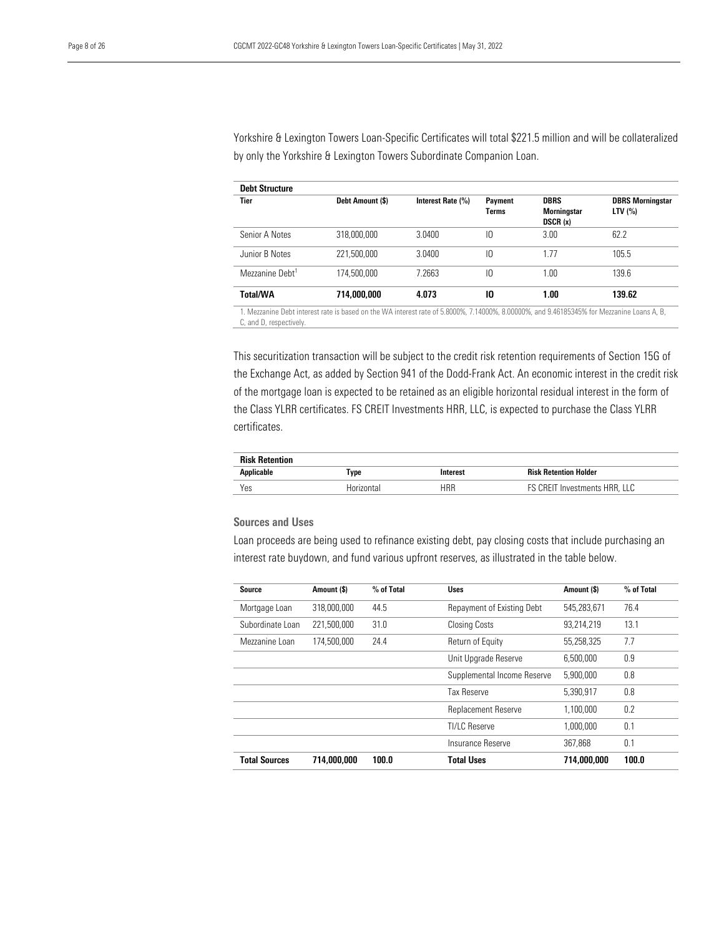Yorkshire & Lexington Towers Loan-Specific Certificates will total \$221.5 million and will be collateralized by only the Yorkshire & Lexington Towers Subordinate Companion Loan.

| <b>Debt Structure</b>                                                                                                                                                 |                  |                   |                         |                                              |                                      |
|-----------------------------------------------------------------------------------------------------------------------------------------------------------------------|------------------|-------------------|-------------------------|----------------------------------------------|--------------------------------------|
| <b>Tier</b>                                                                                                                                                           | Debt Amount (\$) | Interest Rate (%) | <b>Payment</b><br>Terms | <b>DBRS</b><br><b>Morningstar</b><br>DSCR(x) | <b>DBRS Morningstar</b><br>LTV $(%)$ |
| Senior A Notes                                                                                                                                                        | 318,000,000      | 3.0400            | IО                      | 3.00                                         | 62.2                                 |
| Junior B Notes                                                                                                                                                        | 221.500.000      | 3.0400            | IО                      | 1.77                                         | 105.5                                |
| Mezzanine Debt <sup>1</sup>                                                                                                                                           | 174,500,000      | 7.2663            | IО                      | 1.00                                         | 139.6                                |
| <b>Total/WA</b>                                                                                                                                                       | 714,000,000      | 4.073             | 10                      | 1.00                                         | 139.62                               |
| 1. Mezzanine Debt interest rate is based on the WA interest rate of 5.8000%, 7.14000%, 8.00000%, and 9.46185345% for Mezzanine Loans A, B,<br>C, and D, respectively. |                  |                   |                         |                                              |                                      |

This securitization transaction will be subject to the credit risk retention requirements of Section 15G of the Exchange Act, as added by Section 941 of the Dodd-Frank Act. An economic interest in the credit risk of the mortgage loan is expected to be retained as an eligible horizontal residual interest in the form of the Class YLRR certificates. FS CREIT Investments HRR, LLC, is expected to purchase the Class YLRR certificates.

| <b>Risk Retention</b> |            |          |                               |
|-----------------------|------------|----------|-------------------------------|
| Applicable            | Type       | Interest | <b>Risk Retention Holder</b>  |
| Yes                   | Horizontal | HRR      | FS CREIT Investments HRR, LLC |

# Sources and Uses

Loan proceeds are being used to refinance existing debt, pay closing costs that include purchasing an interest rate buydown, and fund various upfront reserves, as illustrated in the table below.

| Source               | Amount (\$) | % of Total | <b>Uses</b>                 | Amount (\$) | % of Total |
|----------------------|-------------|------------|-----------------------------|-------------|------------|
| Mortgage Loan        | 318,000,000 | 44.5       | Repayment of Existing Debt  | 545.283.671 | 76.4       |
| Subordinate Loan     | 221,500,000 | 31.0       | <b>Closing Costs</b>        | 93,214,219  | 13.1       |
| Mezzanine Loan       | 174,500,000 | 24.4       | Return of Equity            | 55,258,325  | 7.7        |
|                      |             |            | Unit Upgrade Reserve        | 6.500.000   | 0.9        |
|                      |             |            | Supplemental Income Reserve | 5.900.000   | 0.8        |
|                      |             |            | Tax Reserve                 | 5,390,917   | 0.8        |
|                      |             |            | Replacement Reserve         | 1.100.000   | 0.2        |
|                      |             |            | TI/I C Reserve              | 1.000.000   | 0.1        |
|                      |             |            | Insurance Reserve           | 367.868     | 0.1        |
| <b>Total Sources</b> | 714,000,000 | 100.0      | <b>Total Uses</b>           | 714,000,000 | 100.0      |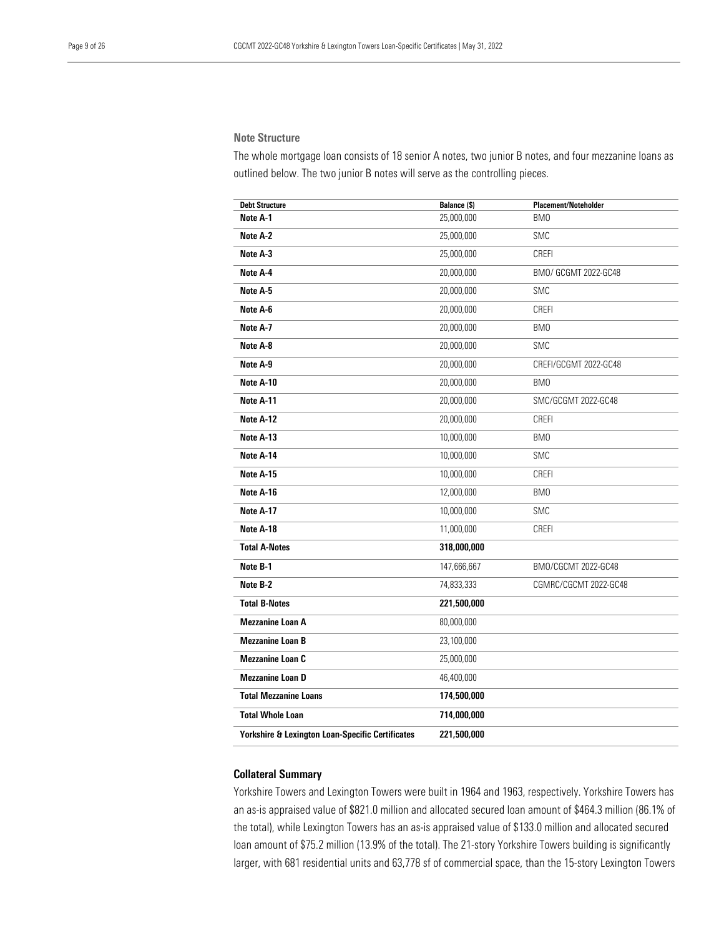# Note Structure

The whole mortgage loan consists of 18 senior A notes, two junior B notes, and four mezzanine loans as outlined below. The two junior B notes will serve as the controlling pieces.

| <b>Debt Structure</b>                                       | Balance (\$) | <b>Placement/Noteholder</b> |
|-------------------------------------------------------------|--------------|-----------------------------|
| Note A-1                                                    | 25,000,000   | BM0                         |
| Note A-2                                                    | 25,000,000   | SMC                         |
| Note A-3                                                    | 25,000,000   | CREFI                       |
| Note A-4                                                    | 20,000,000   | BMO/ GCGMT 2022-GC48        |
| Note A-5                                                    | 20,000,000   | <b>SMC</b>                  |
| Note A-6                                                    | 20,000,000   | CREFI                       |
| Note A-7                                                    | 20,000,000   | BM <sub>0</sub>             |
| Note A-8                                                    | 20,000,000   | SMC                         |
| Note A-9                                                    | 20,000,000   | CREFI/GCGMT 2022-GC48       |
| Note A-10                                                   | 20,000,000   | BM <sub>0</sub>             |
| Note A-11                                                   | 20,000,000   | SMC/GCGMT 2022-GC48         |
| Note A-12                                                   | 20,000,000   | CREFI                       |
| Note A-13                                                   | 10,000,000   | BMO                         |
| Note A-14                                                   | 10,000,000   | <b>SMC</b>                  |
| Note A-15                                                   | 10,000,000   | CREFI                       |
| Note A-16                                                   | 12,000,000   | BM0                         |
| Note A-17                                                   | 10,000,000   | <b>SMC</b>                  |
| Note A-18                                                   | 11,000,000   | CREFI                       |
| <b>Total A-Notes</b>                                        | 318,000,000  |                             |
| Note B-1                                                    | 147,666,667  | BM0/CGCMT 2022-GC48         |
| Note B-2                                                    | 74,833,333   | CGMRC/CGCMT 2022-GC48       |
| <b>Total B-Notes</b>                                        | 221,500,000  |                             |
| <b>Mezzanine Loan A</b>                                     | 80,000,000   |                             |
| <b>Mezzanine Loan B</b>                                     | 23,100,000   |                             |
| <b>Mezzanine Loan C</b>                                     | 25,000,000   |                             |
| <b>Mezzanine Loan D</b>                                     | 46,400,000   |                             |
| <b>Total Mezzanine Loans</b>                                | 174,500,000  |                             |
| <b>Total Whole Loan</b>                                     | 714,000,000  |                             |
| <b>Yorkshire &amp; Lexington Loan-Specific Certificates</b> | 221,500,000  |                             |

# <span id="page-8-0"></span>Collateral Summary

Yorkshire Towers and Lexington Towers were built in 1964 and 1963, respectively. Yorkshire Towers has an as-is appraised value of \$821.0 million and allocated secured loan amount of \$464.3 million (86.1% of the total), while Lexington Towers has an as-is appraised value of \$133.0 million and allocated secured loan amount of \$75.2 million (13.9% of the total). The 21-story Yorkshire Towers building is significantly larger, with 681 residential units and 63,778 sf of commercial space, than the 15-story Lexington Towers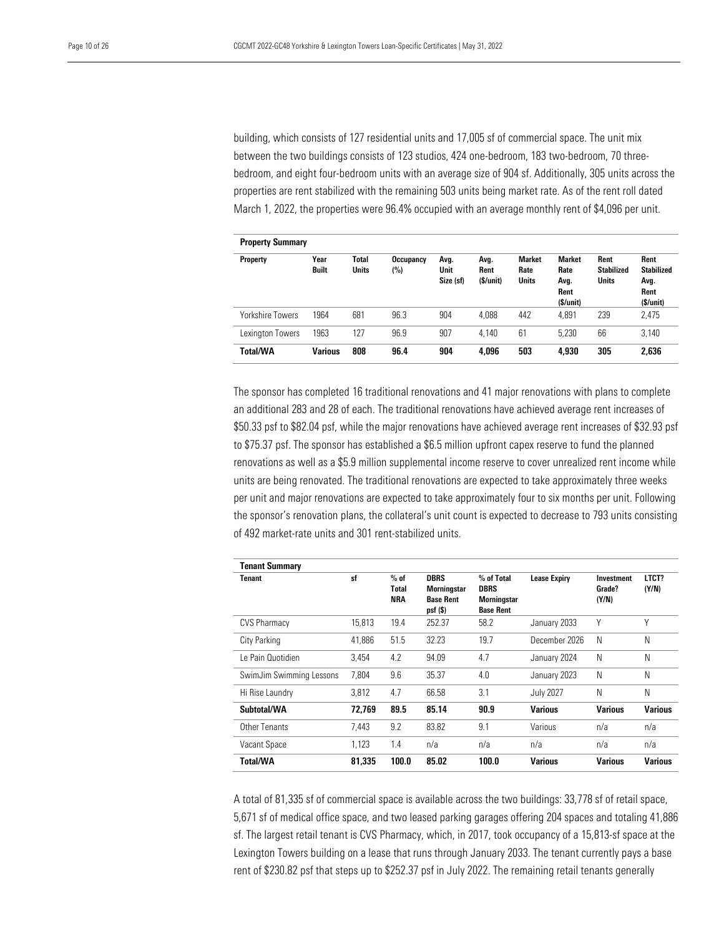building, which consists of 127 residential units and 17,005 sf of commercial space. The unit mix between the two buildings consists of 123 studios, 424 one-bedroom, 183 two-bedroom, 70 threebedroom, and eight four-bedroom units with an average size of 904 sf. Additionally, 305 units across the properties are rent stabilized with the remaining 503 units being market rate. As of the rent roll dated March 1, 2022, the properties were 96.4% occupied with an average monthly rent of \$4,096 per unit.

| <b>Property Summary</b> |                      |                       |                  |                           |                          |                                       |                                                   |                                           |                                                       |
|-------------------------|----------------------|-----------------------|------------------|---------------------------|--------------------------|---------------------------------------|---------------------------------------------------|-------------------------------------------|-------------------------------------------------------|
| <b>Property</b>         | Year<br><b>Built</b> | Total<br><b>Units</b> | Occupancy<br>(%) | Avg.<br>Unit<br>Size (sf) | Avg.<br>Rent<br>(S/unit) | <b>Market</b><br>Rate<br><b>Units</b> | <b>Market</b><br>Rate<br>Avg.<br>Rent<br>\$/unit) | Rent<br><b>Stabilized</b><br><b>Units</b> | Rent<br><b>Stabilized</b><br>Avg.<br>Rent<br>(S/unit) |
| Yorkshire Towers        | 1964                 | 681                   | 96.3             | 904                       | 4,088                    | 442                                   | 4.891                                             | 239                                       | 2,475                                                 |
| Lexington Towers        | 1963                 | 127                   | 96.9             | 907                       | 4.140                    | 61                                    | 5.230                                             | 66                                        | 3.140                                                 |
| Total/WA                | Various              | 808                   | 96.4             | 904                       | 4.096                    | 503                                   | 4.930                                             | 305                                       | 2,636                                                 |

The sponsor has completed 16 traditional renovations and 41 major renovations with plans to complete an additional 283 and 28 of each. The traditional renovations have achieved average rent increases of \$50.33 psf to \$82.04 psf, while the major renovations have achieved average rent increases of \$32.93 psf to \$75.37 psf. The sponsor has established a \$6.5 million upfront capex reserve to fund the planned renovations as well as a \$5.9 million supplemental income reserve to cover unrealized rent income while units are being renovated. The traditional renovations are expected to take approximately three weeks per unit and major renovations are expected to take approximately four to six months per unit. Following the sponsor's renovation plans, the collateral's unit count is expected to decrease to 793 units consisting of 492 market-rate units and 301 rent-stabilized units.

| <b>Tenant Summary</b>    |        |                                      |                                                                     |                                                                     |                     |                               |                |
|--------------------------|--------|--------------------------------------|---------------------------------------------------------------------|---------------------------------------------------------------------|---------------------|-------------------------------|----------------|
| Tenant                   | sf     | $%$ of<br><b>Total</b><br><b>NRA</b> | <b>DBRS</b><br><b>Morningstar</b><br><b>Base Rent</b><br>$psf($ \$) | % of Total<br><b>DBRS</b><br><b>Morningstar</b><br><b>Base Rent</b> | <b>Lease Expiry</b> | Investment<br>Grade?<br>(Y/N) | LTCT?<br>(Y/N) |
| <b>CVS Pharmacy</b>      | 15.813 | 19.4                                 | 252.37                                                              | 58.2                                                                | January 2033        | Υ                             | Υ              |
| City Parking             | 41.886 | 51.5                                 | 32.23                                                               | 19.7                                                                | December 2026       | N                             | N              |
| Le Pain Quotidien        | 3.454  | 4.2                                  | 94.09                                                               | 4.7                                                                 | January 2024        | N                             | N              |
| SwimJim Swimming Lessons | 7.804  | 9.6                                  | 35.37                                                               | 4.0                                                                 | January 2023        | N                             | N              |
| Hi Rise Laundry          | 3.812  | 4.7                                  | 66.58                                                               | 3.1                                                                 | <b>July 2027</b>    | N                             | N              |
| Subtotal/WA              | 72.769 | 89.5                                 | 85.14                                                               | 90.9                                                                | <b>Various</b>      | <b>Various</b>                | <b>Various</b> |
| Other Tenants            | 7.443  | 9.2                                  | 83.82                                                               | 9.1                                                                 | Various             | n/a                           | n/a            |
| Vacant Space             | 1.123  | 1.4                                  | n/a                                                                 | n/a                                                                 | n/a                 | n/a                           | n/a            |
| <b>Total/WA</b>          | 81.335 | 100.0                                | 85.02                                                               | 100.0                                                               | <b>Various</b>      | <b>Various</b>                | <b>Various</b> |

A total of 81,335 sf of commercial space is available across the two buildings: 33,778 sf of retail space, 5,671 sf of medical office space, and two leased parking garages offering 204 spaces and totaling 41,886 sf. The largest retail tenant is CVS Pharmacy, which, in 2017, took occupancy of a 15,813-sf space at the Lexington Towers building on a lease that runs through January 2033. The tenant currently pays a base rent of \$230.82 psf that steps up to \$252.37 psf in July 2022. The remaining retail tenants generally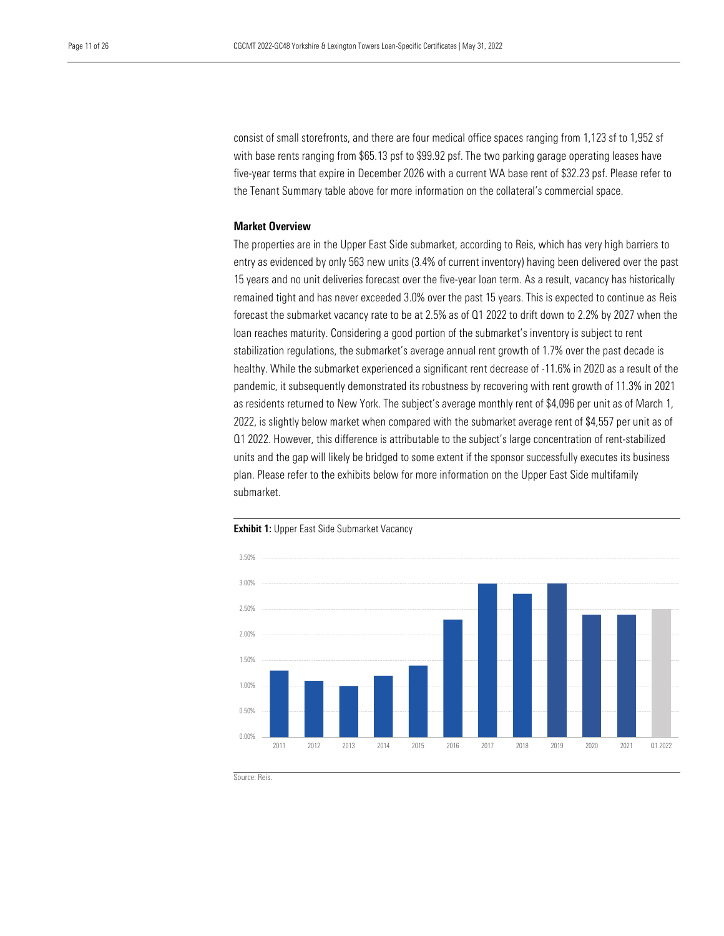consist of small storefronts, and there are four medical office spaces ranging from 1,123 sf to 1,952 sf with base rents ranging from \$65.13 psf to \$99.92 psf. The two parking garage operating leases have five-year terms that expire in December 2026 with a current WA base rent of \$32.23 psf. Please refer to the Tenant Summary table above for more information on the collateral's commercial space.

# <span id="page-10-0"></span>Market Overview

The properties are in the Upper East Side submarket, according to Reis, which has very high barriers to entry as evidenced by only 563 new units (3.4% of current inventory) having been delivered over the past 15 years and no unit deliveries forecast over the five-year loan term. As a result, vacancy has historically remained tight and has never exceeded 3.0% over the past 15 years. This is expected to continue as Reis forecast the submarket vacancy rate to be at 2.5% as of Q1 2022 to drift down to 2.2% by 2027 when the loan reaches maturity. Considering a good portion of the submarket's inventory is subject to rent stabilization regulations, the submarket's average annual rent growth of 1.7% over the past decade is healthy. While the submarket experienced a significant rent decrease of -11.6% in 2020 as a result of the pandemic, it subsequently demonstrated its robustness by recovering with rent growth of 11.3% in 2021 as residents returned to New York. The subject's average monthly rent of \$4,096 per unit as of March 1, 2022, is slightly below market when compared with the submarket average rent of \$4,557 per unit as of Q1 2022. However, this difference is attributable to the subject's large concentration of rent-stabilized units and the gap will likely be bridged to some extent if the sponsor successfully executes its business plan. Please refer to the exhibits below for more information on the Upper East Side multifamily submarket.



**Exhibit 1:** Upper East Side Submarket Vacancy

Source: Reis.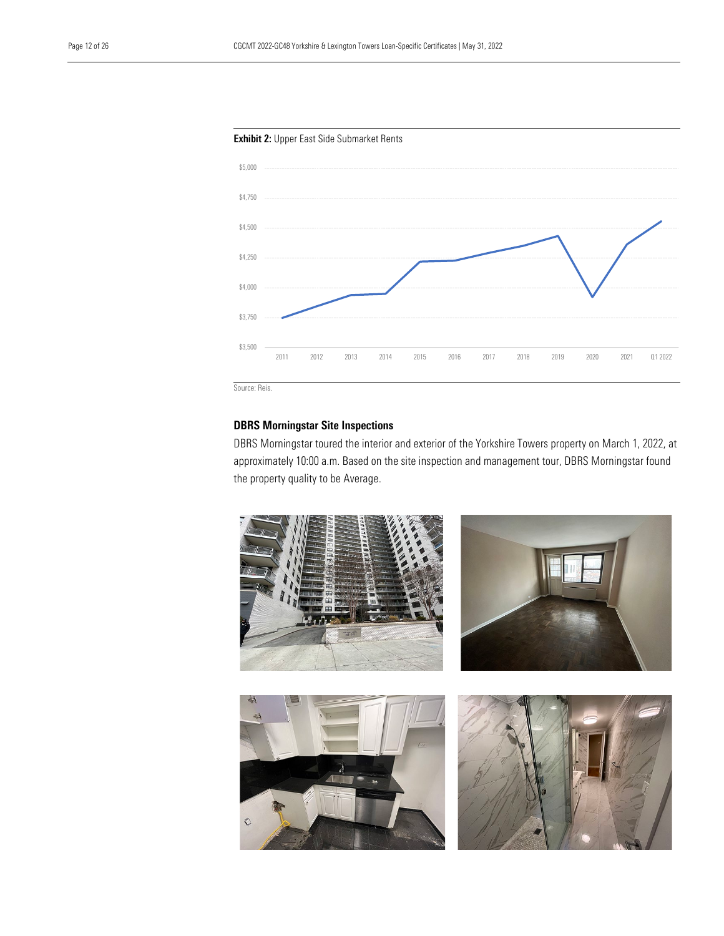

# <span id="page-11-0"></span>DBRS Morningstar Site Inspections

DBRS Morningstar toured the interior and exterior of the Yorkshire Towers property on March 1, 2022, at approximately 10:00 a.m. Based on the site inspection and management tour, DBRS Morningstar found the property quality to be Average.

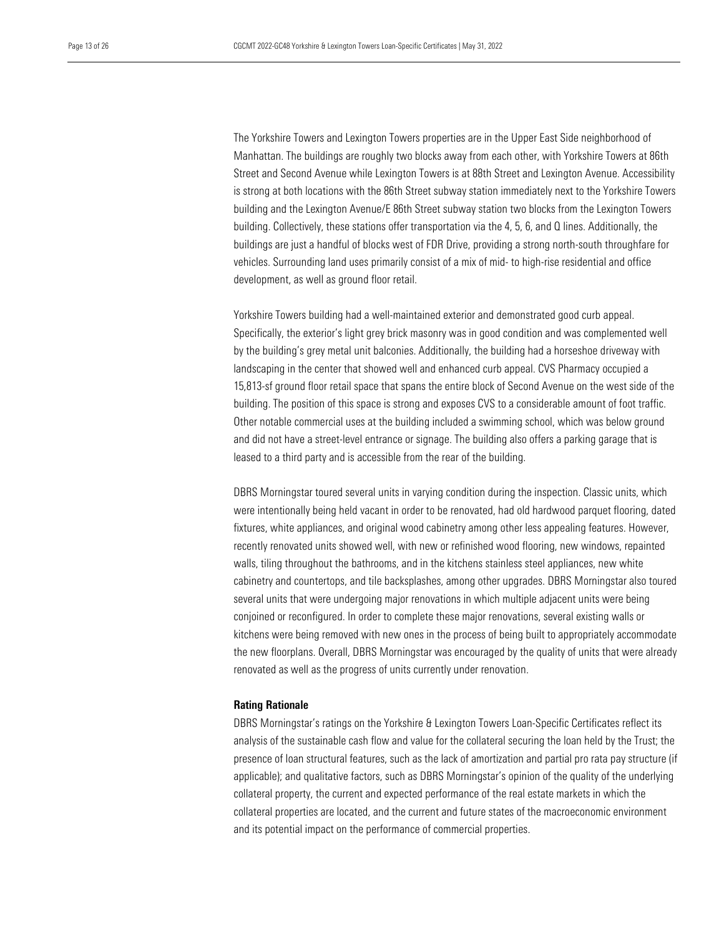The Yorkshire Towers and Lexington Towers properties are in the Upper East Side neighborhood of Manhattan. The buildings are roughly two blocks away from each other, with Yorkshire Towers at 86th Street and Second Avenue while Lexington Towers is at 88th Street and Lexington Avenue. Accessibility is strong at both locations with the 86th Street subway station immediately next to the Yorkshire Towers building and the Lexington Avenue/E 86th Street subway station two blocks from the Lexington Towers building. Collectively, these stations offer transportation via the 4, 5, 6, and Q lines. Additionally, the buildings are just a handful of blocks west of FDR Drive, providing a strong north-south throughfare for vehicles. Surrounding land uses primarily consist of a mix of mid- to high-rise residential and office development, as well as ground floor retail.

Yorkshire Towers building had a well-maintained exterior and demonstrated good curb appeal. Specifically, the exterior's light grey brick masonry was in good condition and was complemented well by the building's grey metal unit balconies. Additionally, the building had a horseshoe driveway with landscaping in the center that showed well and enhanced curb appeal. CVS Pharmacy occupied a 15,813-sf ground floor retail space that spans the entire block of Second Avenue on the west side of the building. The position of this space is strong and exposes CVS to a considerable amount of foot traffic. Other notable commercial uses at the building included a swimming school, which was below ground and did not have a street-level entrance or signage. The building also offers a parking garage that is leased to a third party and is accessible from the rear of the building.

DBRS Morningstar toured several units in varying condition during the inspection. Classic units, which were intentionally being held vacant in order to be renovated, had old hardwood parquet flooring, dated fixtures, white appliances, and original wood cabinetry among other less appealing features. However, recently renovated units showed well, with new or refinished wood flooring, new windows, repainted walls, tiling throughout the bathrooms, and in the kitchens stainless steel appliances, new white cabinetry and countertops, and tile backsplashes, among other upgrades. DBRS Morningstar also toured several units that were undergoing major renovations in which multiple adjacent units were being conjoined or reconfigured. In order to complete these major renovations, several existing walls or kitchens were being removed with new ones in the process of being built to appropriately accommodate the new floorplans. Overall, DBRS Morningstar was encouraged by the quality of units that were already renovated as well as the progress of units currently under renovation.

#### <span id="page-12-0"></span>Rating Rationale

DBRS Morningstar's ratings on the Yorkshire & Lexington Towers Loan-Specific Certificates reflect its analysis of the sustainable cash flow and value for the collateral securing the loan held by the Trust; the presence of loan structural features, such as the lack of amortization and partial pro rata pay structure (if applicable); and qualitative factors, such as DBRS Morningstar's opinion of the quality of the underlying collateral property, the current and expected performance of the real estate markets in which the collateral properties are located, and the current and future states of the macroeconomic environment and its potential impact on the performance of commercial properties.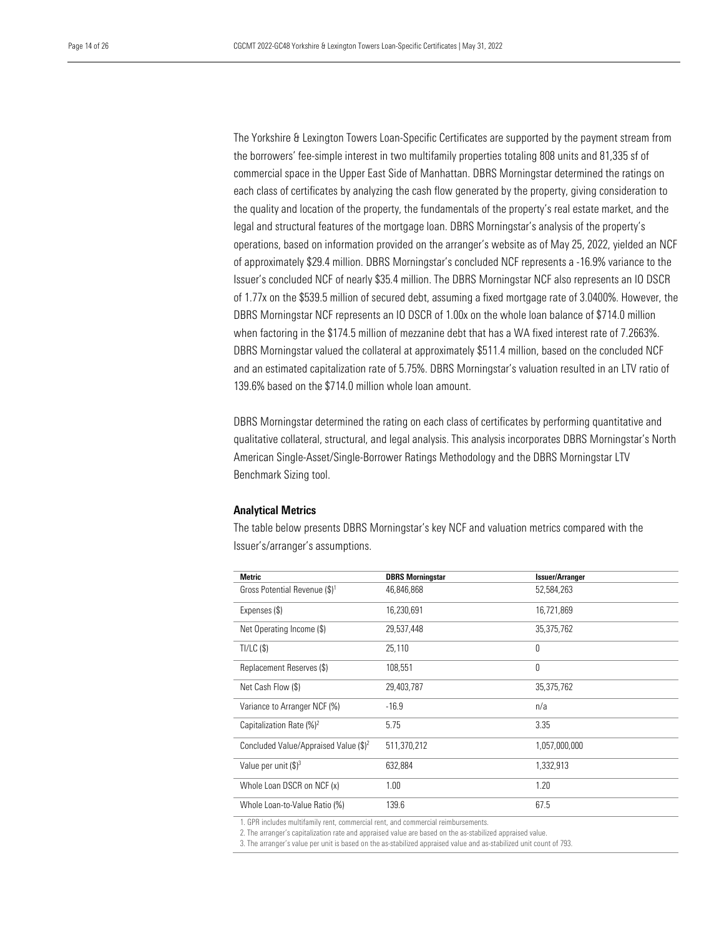The Yorkshire & Lexington Towers Loan-Specific Certificates are supported by the payment stream from the borrowers' fee-simple interest in two multifamily properties totaling 808 units and 81,335 sf of commercial space in the Upper East Side of Manhattan. DBRS Morningstar determined the ratings on each class of certificates by analyzing the cash flow generated by the property, giving consideration to the quality and location of the property, the fundamentals of the property's real estate market, and the legal and structural features of the mortgage loan. DBRS Morningstar's analysis of the property's operations, based on information provided on the arranger's website as of May 25, 2022, yielded an NCF of approximately \$29.4 million. DBRS Morningstar's concluded NCF represents a -16.9% variance to the Issuer's concluded NCF of nearly \$35.4 million. The DBRS Morningstar NCF also represents an IO DSCR of 1.77x on the \$539.5 million of secured debt, assuming a fixed mortgage rate of 3.0400%. However, the DBRS Morningstar NCF represents an IO DSCR of 1.00x on the whole loan balance of \$714.0 million when factoring in the \$174.5 million of mezzanine debt that has a WA fixed interest rate of 7.2663%. DBRS Morningstar valued the collateral at approximately \$511.4 million, based on the concluded NCF and an estimated capitalization rate of 5.75%. DBRS Morningstar's valuation resulted in an LTV ratio of 139.6% based on the \$714.0 million whole loan amount.

DBRS Morningstar determined the rating on each class of certificates by performing quantitative and qualitative collateral, structural, and legal analysis. This analysis incorporates DBRS Morningstar's North American Single-Asset/Single-Borrower Ratings Methodology and the DBRS Morningstar LTV Benchmark Sizing tool.

#### <span id="page-13-0"></span>Analytical Metrics

The table below presents DBRS Morningstar's key NCF and valuation metrics compared with the Issuer's/arranger's assumptions.

| <b>Metric</b>                             | <b>DBRS Morningstar</b> | <b>Issuer/Arranger</b> |
|-------------------------------------------|-------------------------|------------------------|
| Gross Potential Revenue (\$) <sup>1</sup> | 46,846,868              | 52,584,263             |
| Expenses (\$)                             | 16,230,691              | 16,721,869             |
| Net Operating Income (\$)                 | 29,537,448              | 35,375,762             |
| TI/LC(S)                                  | 25,110                  | 0                      |
| Replacement Reserves (\$)                 | 108,551                 | 0                      |
| Net Cash Flow (\$)                        | 29,403,787              | 35,375,762             |
| Variance to Arranger NCF (%)              | $-16.9$                 | n/a                    |
| Capitalization Rate $(\%)^2$              | 5.75                    | 3.35                   |
| Concluded Value/Appraised Value $(\$)^2$  | 511,370,212             | 1,057,000,000          |
| Value per unit $(\$)^3$                   | 632.884                 | 1,332,913              |
| Whole Loan DSCR on NCF (x)                | 1.00                    | 1.20                   |
| Whole Loan-to-Value Ratio (%)             | 139.6                   | 67.5                   |
|                                           |                         |                        |

1. GPR includes multifamily rent, commercial rent, and commercial reimbursements.

2. The arranger's capitalization rate and appraised value are based on the as-stabilized appraised value.

3. The arranger's value per unit is based on the as-stabilized appraised value and as-stabilized unit count of 793.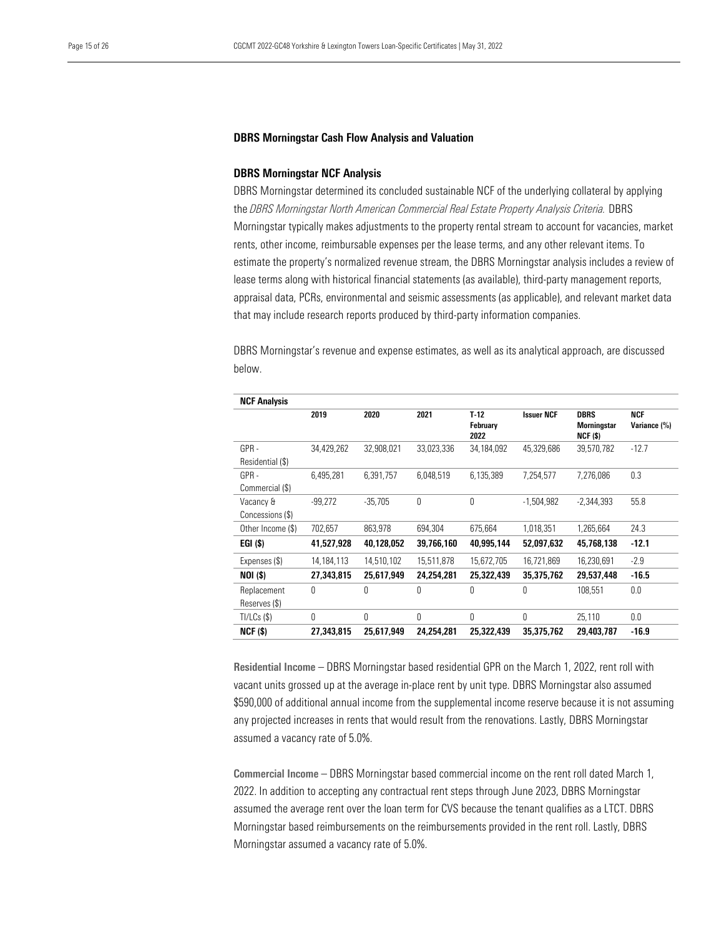#### <span id="page-14-0"></span>DBRS Morningstar Cash Flow Analysis and Valuation

#### <span id="page-14-1"></span>DBRS Morningstar NCF Analysis

DBRS Morningstar determined its concluded sustainable NCF of the underlying collateral by applying the *DBRS Morningstar North American Commercial Real Estate Property Analysis Criteria.* DBRS Morningstar typically makes adjustments to the property rental stream to account for vacancies, market rents, other income, reimbursable expenses per the lease terms, and any other relevant items. To estimate the property's normalized revenue stream, the DBRS Morningstar analysis includes a review of lease terms along with historical financial statements (as available), third-party management reports, appraisal data, PCRs, environmental and seismic assessments (as applicable), and relevant market data that may include research reports produced by third-party information companies.

DBRS Morningstar's revenue and expense estimates, as well as its analytical approach, are discussed below.

| <b>NCF Analysis</b> |              |            |            |                            |                   |                                                 |                            |
|---------------------|--------------|------------|------------|----------------------------|-------------------|-------------------------------------------------|----------------------------|
|                     | 2019         | 2020       | 2021       | $T-12$<br>February<br>2022 | <b>Issuer NCF</b> | <b>DBRS</b><br><b>Morningstar</b><br>$NCF($ \$) | <b>NCF</b><br>Variance (%) |
| GPR-                | 34,429,262   | 32,908,021 | 33,023,336 | 34,184,092                 | 45,329,686        | 39,570,782                                      | $-12.7$                    |
| Residential (\$)    |              |            |            |                            |                   |                                                 |                            |
| GPR-                | 6,495,281    | 6,391,757  | 6,048,519  | 6,135,389                  | 7,254,577         | 7,276,086                                       | 0.3                        |
| Commercial (\$)     |              |            |            |                            |                   |                                                 |                            |
| Vacancy &           | $-99.272$    | $-35.705$  | 0          | 0                          | $-1.504.982$      | $-2.344.393$                                    | 55.8                       |
| Concessions (\$)    |              |            |            |                            |                   |                                                 |                            |
| Other Income (\$)   | 702,657      | 863,978    | 694,304    | 675,664                    | 1,018,351         | 1,265,664                                       | 24.3                       |
| EGI(\$)             | 41.527.928   | 40.128.052 | 39.766.160 | 40.995.144                 | 52.097.632        | 45.768.138                                      | $-12.1$                    |
| Expenses (\$)       | 14, 184, 113 | 14,510,102 | 15,511,878 | 15,672,705                 | 16,721,869        | 16,230,691                                      | $-2.9$                     |
| <b>NOI (\$)</b>     | 27,343,815   | 25,617,949 | 24.254.281 | 25.322.439                 | 35,375,762        | 29.537.448                                      | $-16.5$                    |
| Replacement         | $\Omega$     | 0          | $\Omega$   | 0                          | $\Omega$          | 108.551                                         | 0.0                        |
| Reserves (\$)       |              |            |            |                            |                   |                                                 |                            |
| $TI/LCs$ (\$)       | $\Omega$     | $\theta$   | $\Omega$   | 0                          | 0                 | 25,110                                          | 0.0                        |
| <b>NCF (\$)</b>     | 27,343,815   | 25,617,949 | 24,254,281 | 25,322,439                 | 35,375,762        | 29,403,787                                      | $-16.9$                    |

Residential Income – DBRS Morningstar based residential GPR on the March 1, 2022, rent roll with vacant units grossed up at the average in-place rent by unit type. DBRS Morningstar also assumed \$590,000 of additional annual income from the supplemental income reserve because it is not assuming any projected increases in rents that would result from the renovations. Lastly, DBRS Morningstar assumed a vacancy rate of 5.0%.

Commercial Income – DBRS Morningstar based commercial income on the rent roll dated March 1, 2022. In addition to accepting any contractual rent steps through June 2023, DBRS Morningstar assumed the average rent over the loan term for CVS because the tenant qualifies as a LTCT. DBRS Morningstar based reimbursements on the reimbursements provided in the rent roll. Lastly, DBRS Morningstar assumed a vacancy rate of 5.0%.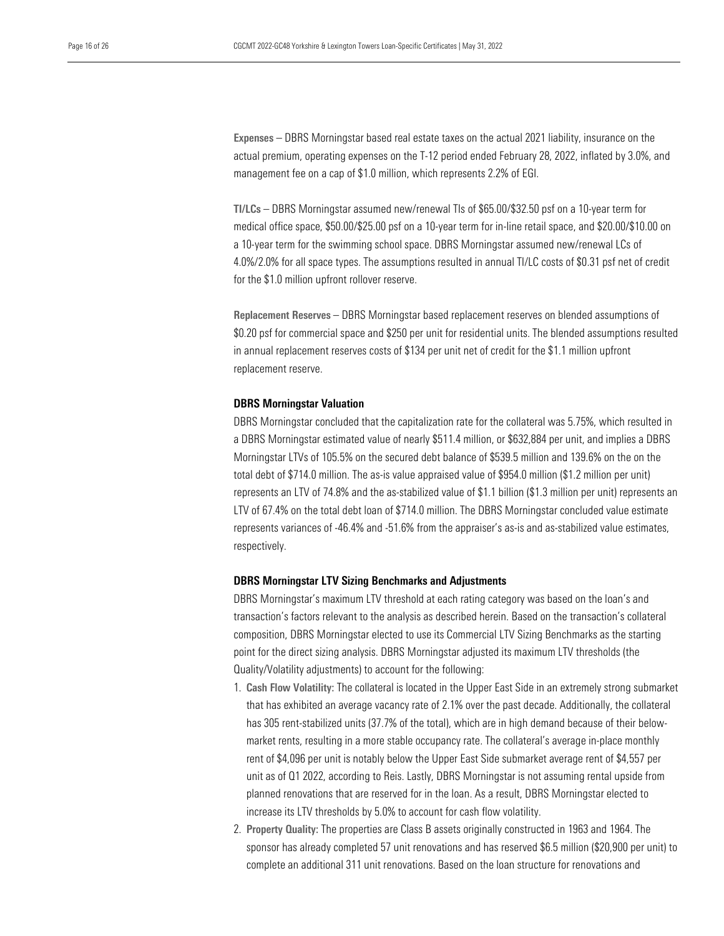Expenses – DBRS Morningstar based real estate taxes on the actual 2021 liability, insurance on the actual premium, operating expenses on the T-12 period ended February 28, 2022, inflated by 3.0%, and management fee on a cap of \$1.0 million, which represents 2.2% of EGI.

TI/LCs – DBRS Morningstar assumed new/renewal TIs of \$65.00/\$32.50 psf on a 10-year term for medical office space, \$50.00/\$25.00 psf on a 10-year term for in-line retail space, and \$20.00/\$10.00 on a 10-year term for the swimming school space. DBRS Morningstar assumed new/renewal LCs of 4.0%/2.0% for all space types. The assumptions resulted in annual TI/LC costs of \$0.31 psf net of credit for the \$1.0 million upfront rollover reserve.

Replacement Reserves – DBRS Morningstar based replacement reserves on blended assumptions of \$0.20 psf for commercial space and \$250 per unit for residential units. The blended assumptions resulted in annual replacement reserves costs of \$134 per unit net of credit for the \$1.1 million upfront replacement reserve.

#### <span id="page-15-0"></span>DBRS Morningstar Valuation

DBRS Morningstar concluded that the capitalization rate for the collateral was 5.75%, which resulted in a DBRS Morningstar estimated value of nearly \$511.4 million, or \$632,884 per unit, and implies a DBRS Morningstar LTVs of 105.5% on the secured debt balance of \$539.5 million and 139.6% on the on the total debt of \$714.0 million. The as-is value appraised value of \$954.0 million (\$1.2 million per unit) represents an LTV of 74.8% and the as-stabilized value of \$1.1 billion (\$1.3 million per unit) represents an LTV of 67.4% on the total debt loan of \$714.0 million. The DBRS Morningstar concluded value estimate represents variances of -46.4% and -51.6% from the appraiser's as-is and as-stabilized value estimates, respectively.

# <span id="page-15-1"></span>DBRS Morningstar LTV Sizing Benchmarks and Adjustments

DBRS Morningstar's maximum LTV threshold at each rating category was based on the loan's and transaction's factors relevant to the analysis as described herein. Based on the transaction's collateral composition, DBRS Morningstar elected to use its Commercial LTV Sizing Benchmarks as the starting point for the direct sizing analysis. DBRS Morningstar adjusted its maximum LTV thresholds (the Quality/Volatility adjustments) to account for the following:

- 1. Cash Flow Volatility: The collateral is located in the Upper East Side in an extremely strong submarket that has exhibited an average vacancy rate of 2.1% over the past decade. Additionally, the collateral has 305 rent-stabilized units (37.7% of the total), which are in high demand because of their belowmarket rents, resulting in a more stable occupancy rate. The collateral's average in-place monthly rent of \$4,096 per unit is notably below the Upper East Side submarket average rent of \$4,557 per unit as of Q1 2022, according to Reis. Lastly, DBRS Morningstar is not assuming rental upside from planned renovations that are reserved for in the loan. As a result, DBRS Morningstar elected to increase its LTV thresholds by 5.0% to account for cash flow volatility.
- 2. Property Quality: The properties are Class B assets originally constructed in 1963 and 1964. The sponsor has already completed 57 unit renovations and has reserved \$6.5 million (\$20,900 per unit) to complete an additional 311 unit renovations. Based on the loan structure for renovations and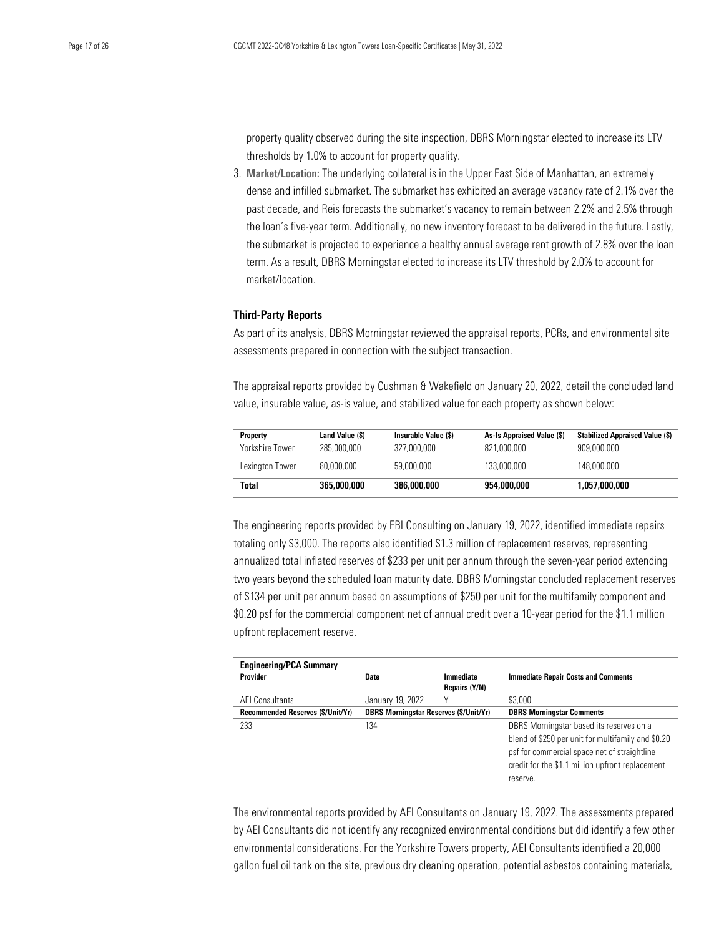property quality observed during the site inspection, DBRS Morningstar elected to increase its LTV thresholds by 1.0% to account for property quality.

3. Market/Location: The underlying collateral is in the Upper East Side of Manhattan, an extremely dense and infilled submarket. The submarket has exhibited an average vacancy rate of 2.1% over the past decade, and Reis forecasts the submarket's vacancy to remain between 2.2% and 2.5% through the loan's five-year term. Additionally, no new inventory forecast to be delivered in the future. Lastly, the submarket is projected to experience a healthy annual average rent growth of 2.8% over the loan term. As a result, DBRS Morningstar elected to increase its LTV threshold by 2.0% to account for market/location.

## <span id="page-16-0"></span>Third-Party Reports

As part of its analysis, DBRS Morningstar reviewed the appraisal reports, PCRs, and environmental site assessments prepared in connection with the subject transaction.

The appraisal reports provided by Cushman & Wakefield on January 20, 2022, detail the concluded land value, insurable value, as-is value, and stabilized value for each property as shown below:

| <b>Property</b> | Land Value (\$) | Insurable Value (\$) | As-Is Appraised Value (\$) | <b>Stabilized Appraised Value (\$)</b> |
|-----------------|-----------------|----------------------|----------------------------|----------------------------------------|
| Yorkshire Tower | 285,000,000     | 327.000.000          | 821,000,000                | 909,000,000                            |
| Lexington Tower | 80.000.000      | 59,000,000           | 133.000.000                | 148,000,000                            |
| Total           | 365,000,000     | 386,000,000          | 954,000,000                | 1,057,000,000                          |

The engineering reports provided by EBI Consulting on January 19, 2022, identified immediate repairs totaling only \$3,000. The reports also identified \$1.3 million of replacement reserves, representing annualized total inflated reserves of \$233 per unit per annum through the seven-year period extending two years beyond the scheduled loan maturity date. DBRS Morningstar concluded replacement reserves of \$134 per unit per annum based on assumptions of \$250 per unit for the multifamily component and \$0.20 psf for the commercial component net of annual credit over a 10-year period for the \$1.1 million upfront replacement reserve.

| <b>Engineering/PCA Summary</b>    |                                               |                  |                                                    |
|-----------------------------------|-----------------------------------------------|------------------|----------------------------------------------------|
| Provider                          | Date                                          | <b>Immediate</b> | <b>Immediate Repair Costs and Comments</b>         |
|                                   |                                               | Repairs (Y/N)    |                                                    |
| <b>AEI Consultants</b>            | January 19, 2022                              | ٧                | \$3.000                                            |
| Recommended Reserves (\$/Unit/Yr) | <b>DBRS Morningstar Reserves (\$/Unit/Yr)</b> |                  | <b>DBRS Morningstar Comments</b>                   |
| 233                               | 134                                           |                  | DBRS Morningstar based its reserves on a           |
|                                   |                                               |                  | blend of \$250 per unit for multifamily and \$0.20 |
|                                   |                                               |                  | psf for commercial space net of straightline       |
|                                   |                                               |                  | credit for the \$1.1 million upfront replacement   |
|                                   |                                               |                  | reserve.                                           |

The environmental reports provided by AEI Consultants on January 19, 2022. The assessments prepared by AEI Consultants did not identify any recognized environmental conditions but did identify a few other environmental considerations. For the Yorkshire Towers property, AEI Consultants identified a 20,000 gallon fuel oil tank on the site, previous dry cleaning operation, potential asbestos containing materials,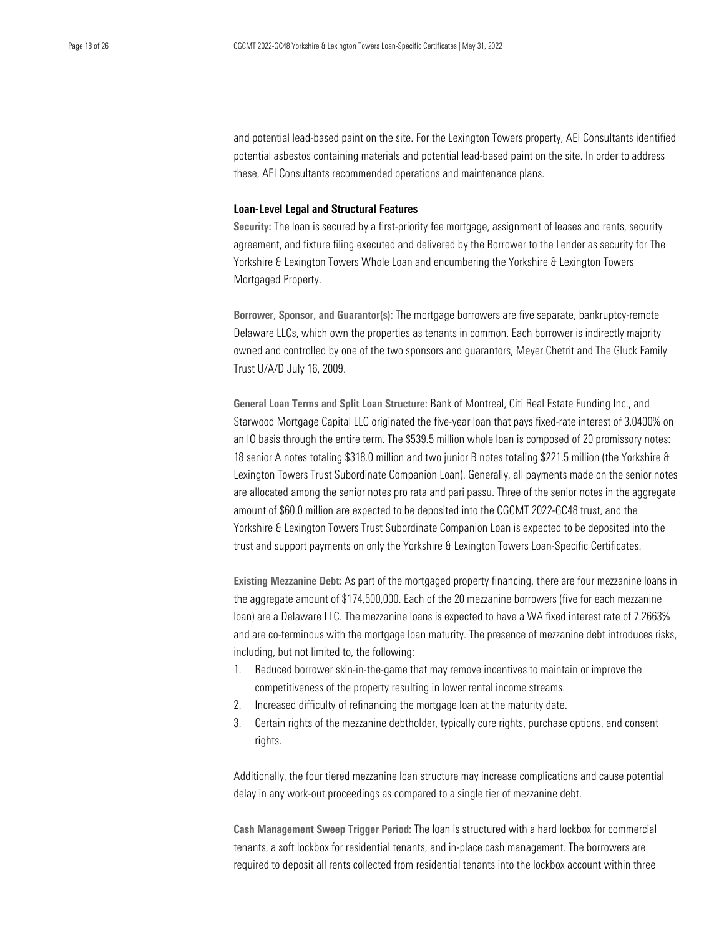and potential lead-based paint on the site. For the Lexington Towers property, AEI Consultants identified potential asbestos containing materials and potential lead-based paint on the site. In order to address these, AEI Consultants recommended operations and maintenance plans.

#### <span id="page-17-0"></span>Loan-Level Legal and Structural Features

Security: The loan is secured by a first-priority fee mortgage, assignment of leases and rents, security agreement, and fixture filing executed and delivered by the Borrower to the Lender as security for The Yorkshire & Lexington Towers Whole Loan and encumbering the Yorkshire & Lexington Towers Mortgaged Property.

Borrower, Sponsor, and Guarantor(s): The mortgage borrowers are five separate, bankruptcy-remote Delaware LLCs, which own the properties as tenants in common. Each borrower is indirectly majority owned and controlled by one of the two sponsors and guarantors, Meyer Chetrit and The Gluck Family Trust U/A/D July 16, 2009.

General Loan Terms and Split Loan Structure: Bank of Montreal, Citi Real Estate Funding Inc., and Starwood Mortgage Capital LLC originated the five-year loan that pays fixed-rate interest of 3.0400% on an IO basis through the entire term. The \$539.5 million whole loan is composed of 20 promissory notes: 18 senior A notes totaling \$318.0 million and two junior B notes totaling \$221.5 million (the Yorkshire & Lexington Towers Trust Subordinate Companion Loan). Generally, all payments made on the senior notes are allocated among the senior notes pro rata and pari passu. Three of the senior notes in the aggregate amount of \$60.0 million are expected to be deposited into the CGCMT 2022-GC48 trust, and the Yorkshire & Lexington Towers Trust Subordinate Companion Loan is expected to be deposited into the trust and support payments on only the Yorkshire & Lexington Towers Loan-Specific Certificates.

Existing Mezzanine Debt: As part of the mortgaged property financing, there are four mezzanine loans in the aggregate amount of \$174,500,000. Each of the 20 mezzanine borrowers (five for each mezzanine loan) are a Delaware LLC. The mezzanine loans is expected to have a WA fixed interest rate of 7.2663% and are co-terminous with the mortgage loan maturity. The presence of mezzanine debt introduces risks, including, but not limited to, the following:

- 1. Reduced borrower skin-in-the-game that may remove incentives to maintain or improve the competitiveness of the property resulting in lower rental income streams.
- 2. Increased difficulty of refinancing the mortgage loan at the maturity date.
- 3. Certain rights of the mezzanine debtholder, typically cure rights, purchase options, and consent rights.

Additionally, the four tiered mezzanine loan structure may increase complications and cause potential delay in any work-out proceedings as compared to a single tier of mezzanine debt.

Cash Management Sweep Trigger Period: The loan is structured with a hard lockbox for commercial tenants, a soft lockbox for residential tenants, and in-place cash management. The borrowers are required to deposit all rents collected from residential tenants into the lockbox account within three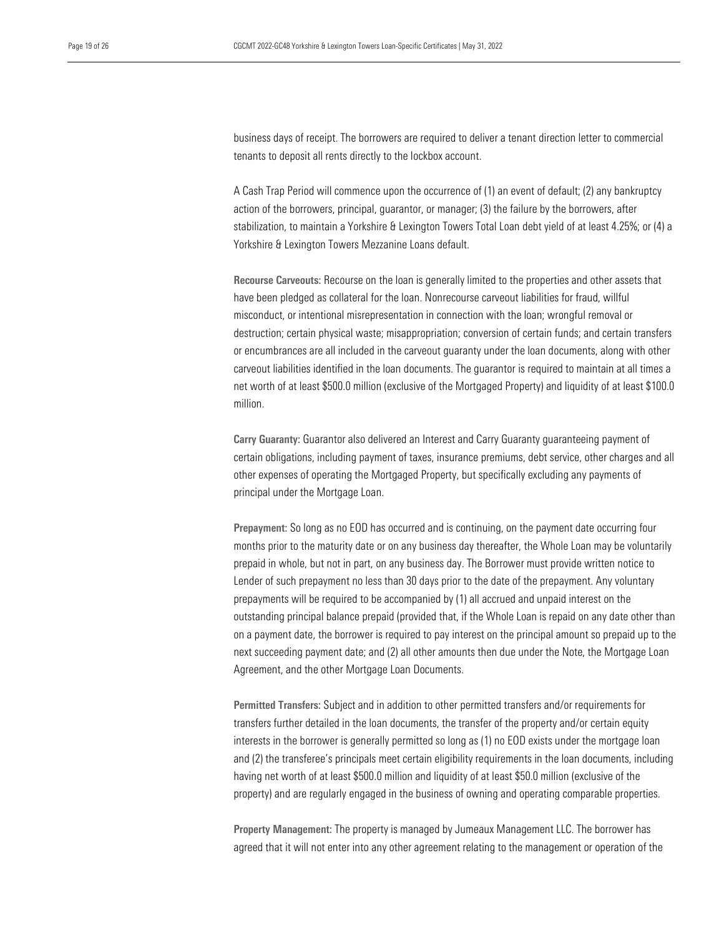business days of receipt. The borrowers are required to deliver a tenant direction letter to commercial tenants to deposit all rents directly to the lockbox account.

A Cash Trap Period will commence upon the occurrence of (1) an event of default; (2) any bankruptcy action of the borrowers, principal, guarantor, or manager; (3) the failure by the borrowers, after stabilization, to maintain a Yorkshire & Lexington Towers Total Loan debt yield of at least 4.25%; or (4) a Yorkshire & Lexington Towers Mezzanine Loans default.

Recourse Carveouts: Recourse on the loan is generally limited to the properties and other assets that have been pledged as collateral for the loan. Nonrecourse carveout liabilities for fraud, willful misconduct, or intentional misrepresentation in connection with the loan; wrongful removal or destruction; certain physical waste; misappropriation; conversion of certain funds; and certain transfers or encumbrances are all included in the carveout guaranty under the loan documents, along with other carveout liabilities identified in the loan documents. The guarantor is required to maintain at all times a net worth of at least \$500.0 million (exclusive of the Mortgaged Property) and liquidity of at least \$100.0 million.

Carry Guaranty: Guarantor also delivered an Interest and Carry Guaranty guaranteeing payment of certain obligations, including payment of taxes, insurance premiums, debt service, other charges and all other expenses of operating the Mortgaged Property, but specifically excluding any payments of principal under the Mortgage Loan.

Prepayment: So long as no EOD has occurred and is continuing, on the payment date occurring four months prior to the maturity date or on any business day thereafter, the Whole Loan may be voluntarily prepaid in whole, but not in part, on any business day. The Borrower must provide written notice to Lender of such prepayment no less than 30 days prior to the date of the prepayment. Any voluntary prepayments will be required to be accompanied by (1) all accrued and unpaid interest on the outstanding principal balance prepaid (provided that, if the Whole Loan is repaid on any date other than on a payment date, the borrower is required to pay interest on the principal amount so prepaid up to the next succeeding payment date; and (2) all other amounts then due under the Note, the Mortgage Loan Agreement, and the other Mortgage Loan Documents.

Permitted Transfers: Subject and in addition to other permitted transfers and/or requirements for transfers further detailed in the loan documents, the transfer of the property and/or certain equity interests in the borrower is generally permitted so long as (1) no EOD exists under the mortgage loan and (2) the transferee's principals meet certain eligibility requirements in the loan documents, including having net worth of at least \$500.0 million and liquidity of at least \$50.0 million (exclusive of the property) and are regularly engaged in the business of owning and operating comparable properties.

Property Management: The property is managed by Jumeaux Management LLC. The borrower has agreed that it will not enter into any other agreement relating to the management or operation of the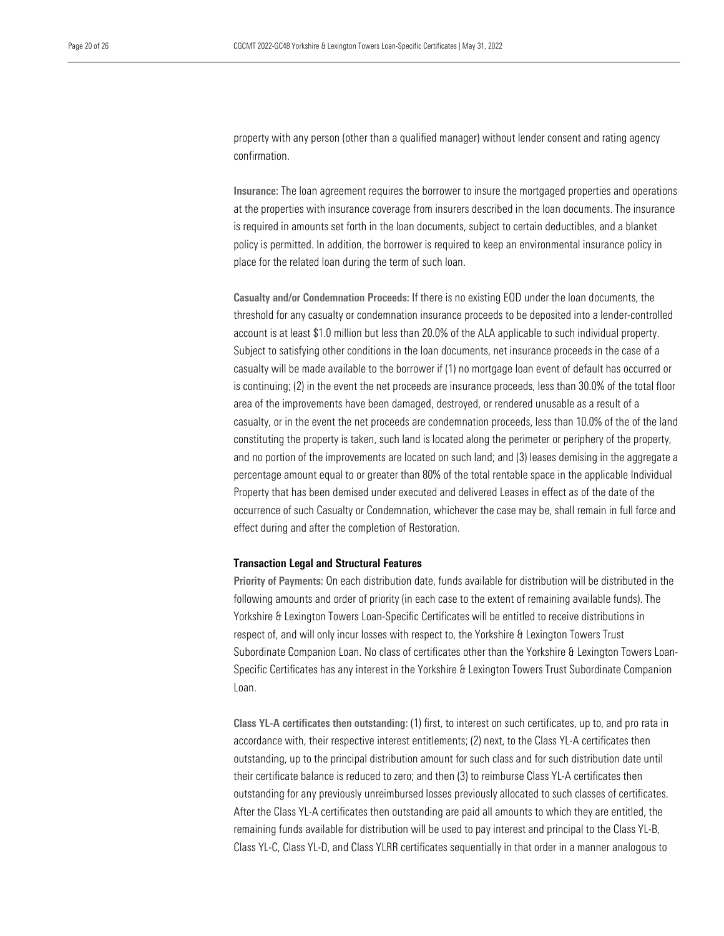property with any person (other than a qualified manager) without lender consent and rating agency confirmation.

Insurance: The loan agreement requires the borrower to insure the mortgaged properties and operations at the properties with insurance coverage from insurers described in the loan documents. The insurance is required in amounts set forth in the loan documents, subject to certain deductibles, and a blanket policy is permitted. In addition, the borrower is required to keep an environmental insurance policy in place for the related loan during the term of such loan.

Casualty and/or Condemnation Proceeds: If there is no existing EOD under the loan documents, the threshold for any casualty or condemnation insurance proceeds to be deposited into a lender-controlled account is at least \$1.0 million but less than 20.0% of the ALA applicable to such individual property. Subject to satisfying other conditions in the loan documents, net insurance proceeds in the case of a casualty will be made available to the borrower if (1) no mortgage loan event of default has occurred or is continuing; (2) in the event the net proceeds are insurance proceeds, less than 30.0% of the total floor area of the improvements have been damaged, destroyed, or rendered unusable as a result of a casualty, or in the event the net proceeds are condemnation proceeds, less than 10.0% of the of the land constituting the property is taken, such land is located along the perimeter or periphery of the property, and no portion of the improvements are located on such land; and (3) leases demising in the aggregate a percentage amount equal to or greater than 80% of the total rentable space in the applicable Individual Property that has been demised under executed and delivered Leases in effect as of the date of the occurrence of such Casualty or Condemnation, whichever the case may be, shall remain in full force and effect during and after the completion of Restoration.

## <span id="page-19-0"></span>Transaction Legal and Structural Features

Priority of Payments: On each distribution date, funds available for distribution will be distributed in the following amounts and order of priority (in each case to the extent of remaining available funds). The Yorkshire & Lexington Towers Loan-Specific Certificates will be entitled to receive distributions in respect of, and will only incur losses with respect to, the Yorkshire & Lexington Towers Trust Subordinate Companion Loan. No class of certificates other than the Yorkshire & Lexington Towers Loan-Specific Certificates has any interest in the Yorkshire & Lexington Towers Trust Subordinate Companion Loan.

Class YL-A certificates then outstanding: (1) first, to interest on such certificates, up to, and pro rata in accordance with, their respective interest entitlements; (2) next, to the Class YL-A certificates then outstanding, up to the principal distribution amount for such class and for such distribution date until their certificate balance is reduced to zero; and then (3) to reimburse Class YL-A certificates then outstanding for any previously unreimbursed losses previously allocated to such classes of certificates. After the Class YL-A certificates then outstanding are paid all amounts to which they are entitled, the remaining funds available for distribution will be used to pay interest and principal to the Class YL-B, Class YL-C, Class YL-D, and Class YLRR certificates sequentially in that order in a manner analogous to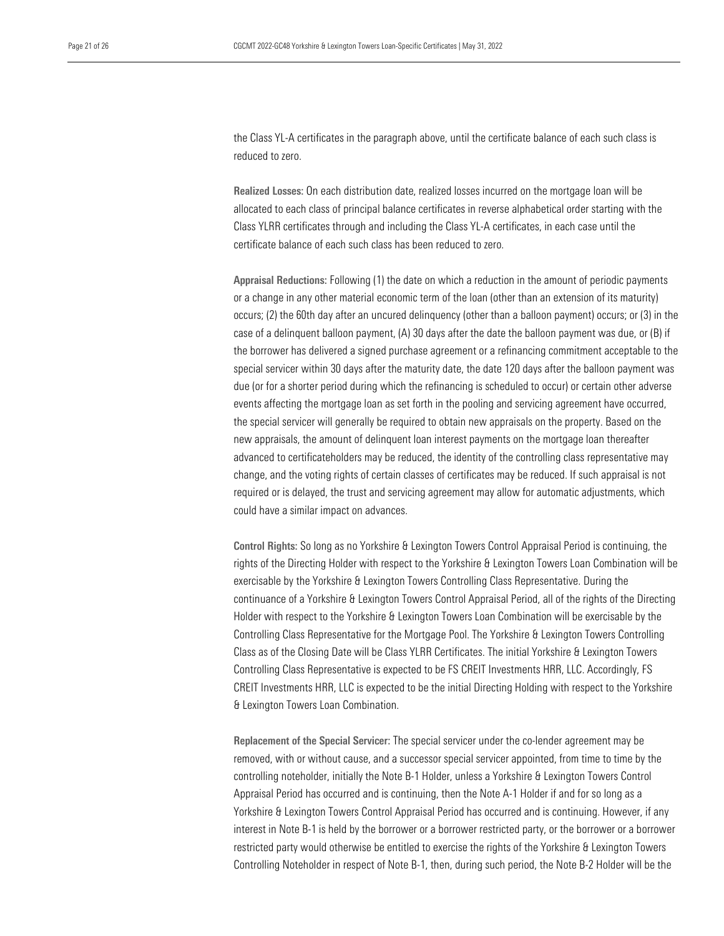the Class YL-A certificates in the paragraph above, until the certificate balance of each such class is reduced to zero.

Realized Losses: On each distribution date, realized losses incurred on the mortgage loan will be allocated to each class of principal balance certificates in reverse alphabetical order starting with the Class YLRR certificates through and including the Class YL-A certificates, in each case until the certificate balance of each such class has been reduced to zero.

Appraisal Reductions: Following (1) the date on which a reduction in the amount of periodic payments or a change in any other material economic term of the loan (other than an extension of its maturity) occurs; (2) the 60th day after an uncured delinquency (other than a balloon payment) occurs; or (3) in the case of a delinquent balloon payment, (A) 30 days after the date the balloon payment was due, or (B) if the borrower has delivered a signed purchase agreement or a refinancing commitment acceptable to the special servicer within 30 days after the maturity date, the date 120 days after the balloon payment was due (or for a shorter period during which the refinancing is scheduled to occur) or certain other adverse events affecting the mortgage loan as set forth in the pooling and servicing agreement have occurred, the special servicer will generally be required to obtain new appraisals on the property. Based on the new appraisals, the amount of delinquent loan interest payments on the mortgage loan thereafter advanced to certificateholders may be reduced, the identity of the controlling class representative may change, and the voting rights of certain classes of certificates may be reduced. If such appraisal is not required or is delayed, the trust and servicing agreement may allow for automatic adjustments, which could have a similar impact on advances.

Control Rights: So long as no Yorkshire & Lexington Towers Control Appraisal Period is continuing, the rights of the Directing Holder with respect to the Yorkshire & Lexington Towers Loan Combination will be exercisable by the Yorkshire & Lexington Towers Controlling Class Representative. During the continuance of a Yorkshire & Lexington Towers Control Appraisal Period, all of the rights of the Directing Holder with respect to the Yorkshire & Lexington Towers Loan Combination will be exercisable by the Controlling Class Representative for the Mortgage Pool. The Yorkshire & Lexington Towers Controlling Class as of the Closing Date will be Class YLRR Certificates. The initial Yorkshire & Lexington Towers Controlling Class Representative is expected to be FS CREIT Investments HRR, LLC. Accordingly, FS CREIT Investments HRR, LLC is expected to be the initial Directing Holding with respect to the Yorkshire & Lexington Towers Loan Combination.

Replacement of the Special Servicer: The special servicer under the co-lender agreement may be removed, with or without cause, and a successor special servicer appointed, from time to time by the controlling noteholder, initially the Note B-1 Holder, unless a Yorkshire & Lexington Towers Control Appraisal Period has occurred and is continuing, then the Note A-1 Holder if and for so long as a Yorkshire & Lexington Towers Control Appraisal Period has occurred and is continuing. However, if any interest in Note B-1 is held by the borrower or a borrower restricted party, or the borrower or a borrower restricted party would otherwise be entitled to exercise the rights of the Yorkshire & Lexington Towers Controlling Noteholder in respect of Note B-1, then, during such period, the Note B-2 Holder will be the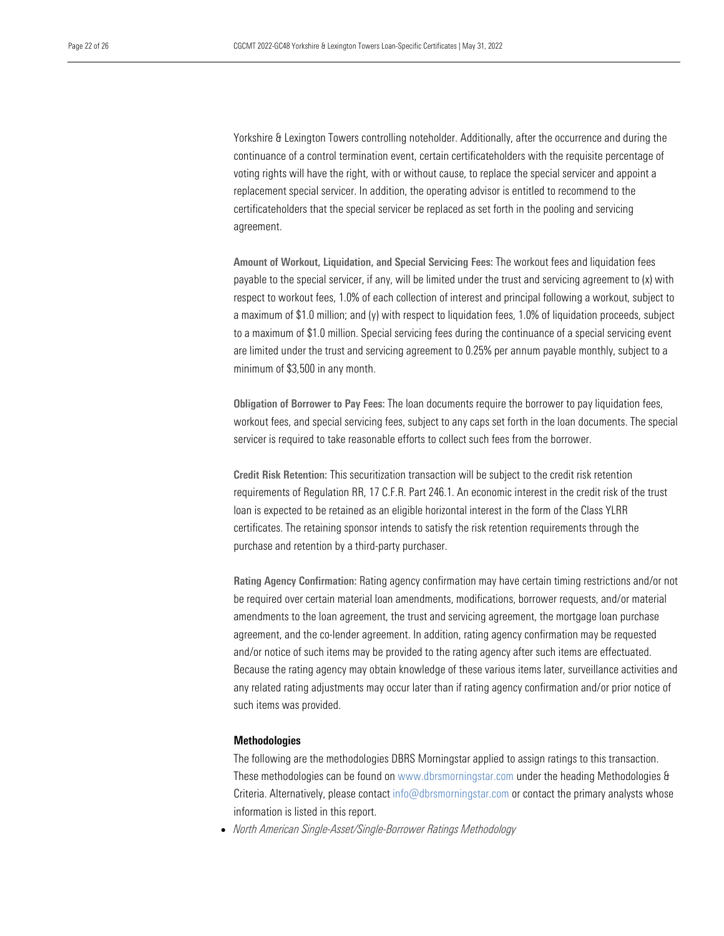Yorkshire & Lexington Towers controlling noteholder. Additionally, after the occurrence and during the continuance of a control termination event, certain certificateholders with the requisite percentage of voting rights will have the right, with or without cause, to replace the special servicer and appoint a replacement special servicer. In addition, the operating advisor is entitled to recommend to the certificateholders that the special servicer be replaced as set forth in the pooling and servicing agreement.

Amount of Workout, Liquidation, and Special Servicing Fees: The workout fees and liquidation fees payable to the special servicer, if any, will be limited under the trust and servicing agreement to (x) with respect to workout fees, 1.0% of each collection of interest and principal following a workout, subject to a maximum of \$1.0 million; and (y) with respect to liquidation fees, 1.0% of liquidation proceeds, subject to a maximum of \$1.0 million. Special servicing fees during the continuance of a special servicing event are limited under the trust and servicing agreement to 0.25% per annum payable monthly, subject to a minimum of \$3,500 in any month.

Obligation of Borrower to Pay Fees: The loan documents require the borrower to pay liquidation fees, workout fees, and special servicing fees, subject to any caps set forth in the loan documents. The special servicer is required to take reasonable efforts to collect such fees from the borrower.

Credit Risk Retention: This securitization transaction will be subject to the credit risk retention requirements of Regulation RR, 17 C.F.R. Part 246.1. An economic interest in the credit risk of the trust loan is expected to be retained as an eligible horizontal interest in the form of the Class YLRR certificates. The retaining sponsor intends to satisfy the risk retention requirements through the purchase and retention by a third-party purchaser.

Rating Agency Confirmation: Rating agency confirmation may have certain timing restrictions and/or not be required over certain material loan amendments, modifications, borrower requests, and/or material amendments to the loan agreement, the trust and servicing agreement, the mortgage loan purchase agreement, and the co-lender agreement. In addition, rating agency confirmation may be requested and/or notice of such items may be provided to the rating agency after such items are effectuated. Because the rating agency may obtain knowledge of these various items later, surveillance activities and any related rating adjustments may occur later than if rating agency confirmation and/or prior notice of such items was provided.

# <span id="page-21-0"></span>**Methodologies**

The following are the methodologies DBRS Morningstar applied to assign ratings to this transaction. These methodologies can be found on www.dbrsmorningstar.com under the heading Methodologies & Criteria. Alternatively, please contact info@dbrsmorningstar.com or contact the primary analysts whose information is listed in this report.

<span id="page-21-1"></span>• *North American Single-Asset/Single-Borrower Ratings Methodology*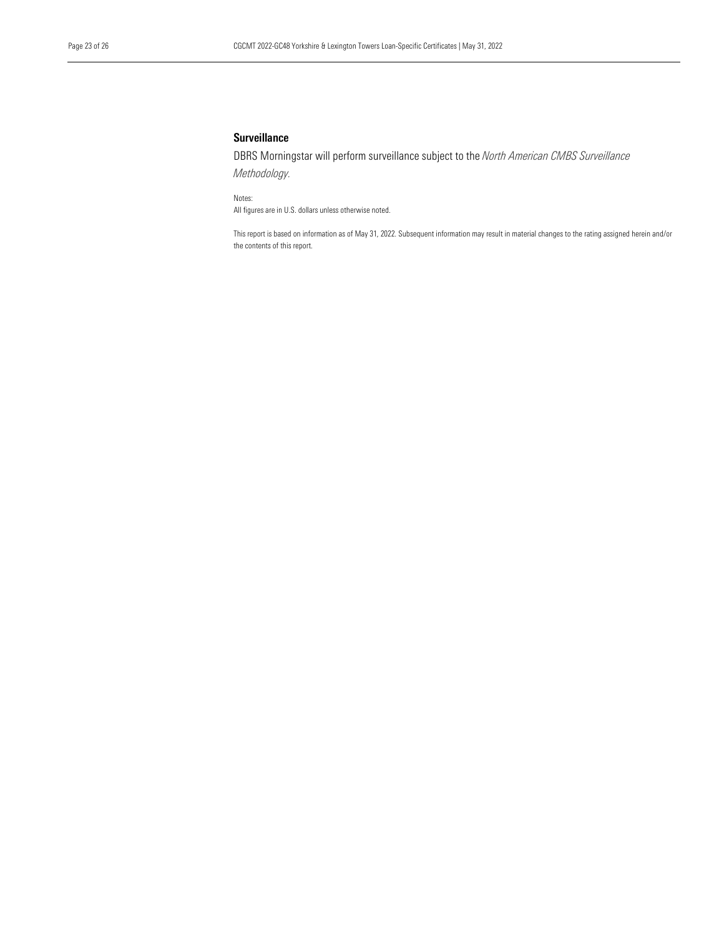# **Surveillance**

DBRS Morningstar will perform surveillance subject to the *North American CMBS Surveillance Methodology.*

Notes:

All figures are in U.S. dollars unless otherwise noted.

This report is based on information as of May 31, 2022. Subsequent information may result in material changes to the rating assigned herein and/or the contents of this report.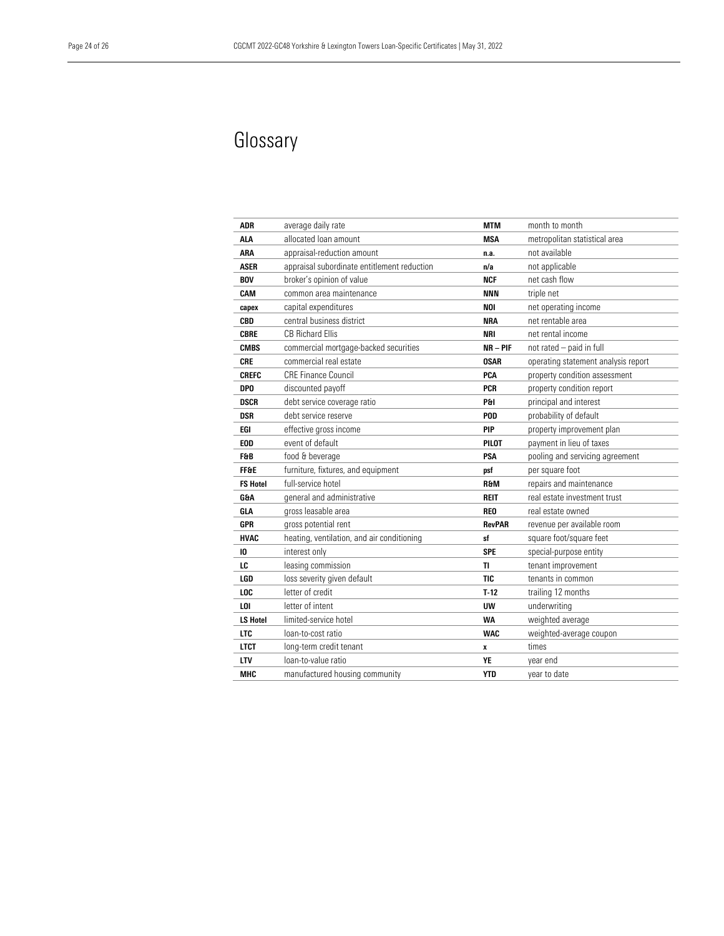# <span id="page-23-0"></span>Glossary

| ADR             | average daily rate                          | <b>MTM</b>    | month to month                      |
|-----------------|---------------------------------------------|---------------|-------------------------------------|
| ALA             | allocated loan amount                       | <b>MSA</b>    | metropolitan statistical area       |
| <b>ARA</b>      | appraisal-reduction amount                  | n.a.          | not available                       |
| <b>ASER</b>     | appraisal subordinate entitlement reduction | n/a           | not applicable                      |
| <b>BOV</b>      | broker's opinion of value                   | <b>NCF</b>    | net cash flow                       |
| CAM             | common area maintenance                     | <b>NNN</b>    | triple net                          |
| capex           | capital expenditures                        | <b>NOI</b>    | net operating income                |
| CBD             | central business district                   | <b>NRA</b>    | net rentable area                   |
| <b>CBRE</b>     | <b>CB Richard Ellis</b>                     | NRI           | net rental income                   |
| <b>CMBS</b>     | commercial mortgage-backed securities       | $NR - PIF$    | not rated - paid in full            |
| CRE             | commercial real estate                      | <b>OSAR</b>   | operating statement analysis report |
| <b>CREFC</b>    | <b>CRE Finance Council</b>                  | PCA           | property condition assessment       |
| DP <sub>0</sub> | discounted payoff                           | <b>PCR</b>    | property condition report           |
| <b>DSCR</b>     | debt service coverage ratio                 | P&I           | principal and interest              |
| DSR             | debt service reserve                        | POD           | probability of default              |
| EGI             | effective gross income                      | PIP           | property improvement plan           |
| <b>EOD</b>      | event of default                            | PILOT         | payment in lieu of taxes            |
| F&B             | food & beverage                             | PSA           | pooling and servicing agreement     |
| <b>FF&amp;E</b> | furniture, fixtures, and equipment          | psf           | per square foot                     |
| <b>FS Hotel</b> | full-service hotel                          | R&M           | repairs and maintenance             |
| <b>G&amp;A</b>  | general and administrative                  | <b>REIT</b>   | real estate investment trust        |
| GLA             | gross leasable area                         | <b>REO</b>    | real estate owned                   |
| GPR             | gross potential rent                        | <b>RevPAR</b> | revenue per available room          |
| <b>HVAC</b>     | heating, ventilation, and air conditioning  | sf            | square foot/square feet             |
| 10              | interest only                               | <b>SPE</b>    | special-purpose entity              |
| LC              | leasing commission                          | TI            | tenant improvement                  |
| LGD             | loss severity given default                 | <b>TIC</b>    | tenants in common                   |
| LOC             | letter of credit                            | $T-12$        | trailing 12 months                  |
| LOI             | letter of intent                            | <b>UW</b>     | underwriting                        |
| <b>LS Hotel</b> | limited-service hotel                       | <b>WA</b>     | weighted average                    |
| <b>LTC</b>      | loan-to-cost ratio                          | <b>WAC</b>    | weighted-average coupon             |
| <b>LTCT</b>     | long-term credit tenant                     | x             | times                               |
| <b>LTV</b>      | loan-to-value ratio                         | YE            | year end                            |
| <b>MHC</b>      | manufactured housing community              | <b>YTD</b>    | vear to date                        |
|                 |                                             |               |                                     |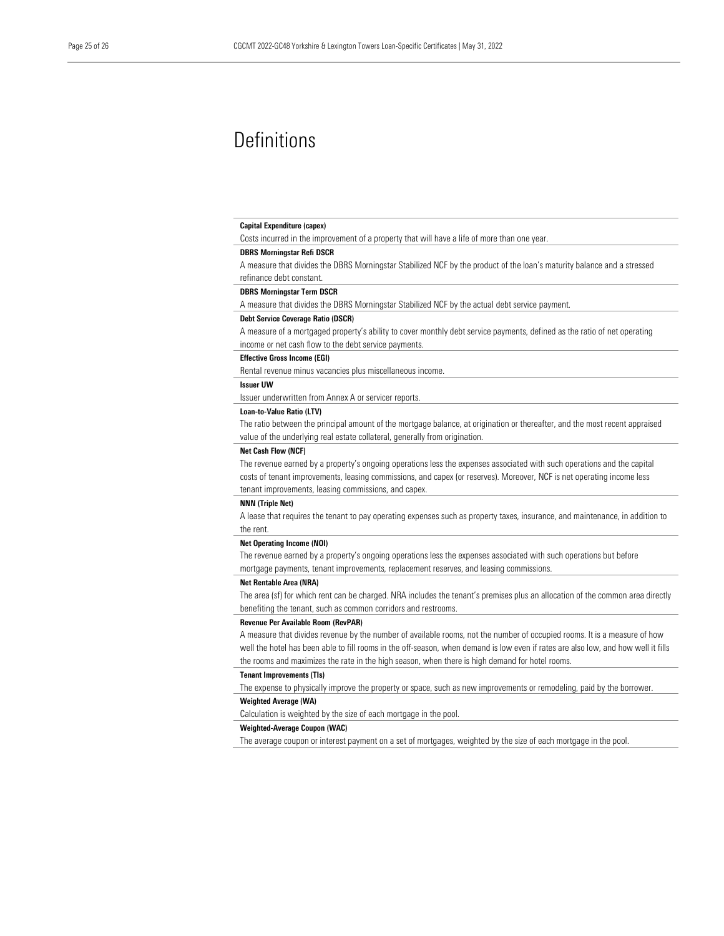# <span id="page-24-0"></span>**Definitions**

#### Capital Expenditure (capex)

Costs incurred in the improvement of a property that will have a life of more than one year.

#### DBRS Morningstar Refi DSCR

A measure that divides the DBRS Morningstar Stabilized NCF by the product of the loan's maturity balance and a stressed refinance debt constant.

#### DBRS Morningstar Term DSCR

A measure that divides the DBRS Morningstar Stabilized NCF by the actual debt service payment.

#### Debt Service Coverage Ratio (DSCR)

A measure of a mortgaged property's ability to cover monthly debt service payments, defined as the ratio of net operating income or net cash flow to the debt service payments.

#### Effective Gross Income (EGI)

Rental revenue minus vacancies plus miscellaneous income.

#### Issuer UW

Issuer underwritten from Annex A or servicer reports.

#### Loan-to-Value Ratio (LTV)

The ratio between the principal amount of the mortgage balance, at origination or thereafter, and the most recent appraised value of the underlying real estate collateral, generally from origination.

#### Net Cash Flow (NCF)

The revenue earned by a property's ongoing operations less the expenses associated with such operations and the capital costs of tenant improvements, leasing commissions, and capex (or reserves). Moreover, NCF is net operating income less tenant improvements, leasing commissions, and capex.

#### NNN (Triple Net)

A lease that requires the tenant to pay operating expenses such as property taxes, insurance, and maintenance, in addition to the rent.

#### Net Operating Income (NOI)

The revenue earned by a property's ongoing operations less the expenses associated with such operations but before mortgage payments, tenant improvements, replacement reserves, and leasing commissions.

#### Net Rentable Area (NRA)

The area (sf) for which rent can be charged. NRA includes the tenant's premises plus an allocation of the common area directly benefiting the tenant, such as common corridors and restrooms.

#### Revenue Per Available Room (RevPAR)

A measure that divides revenue by the number of available rooms, not the number of occupied rooms. It is a measure of how well the hotel has been able to fill rooms in the off-season, when demand is low even if rates are also low, and how well it fills the rooms and maximizes the rate in the high season, when there is high demand for hotel rooms.

#### Tenant Improvements (TIs)

The expense to physically improve the property or space, such as new improvements or remodeling, paid by the borrower.

#### Weighted Average (WA)

Calculation is weighted by the size of each mortgage in the pool.

#### Weighted-Average Coupon (WAC)

The average coupon or interest payment on a set of mortgages, weighted by the size of each mortgage in the pool.